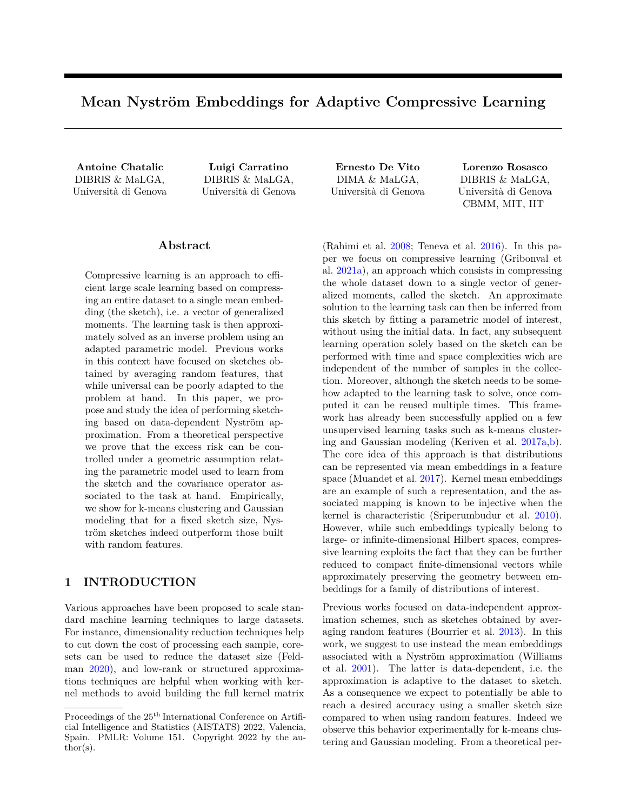# **Mean Nyström Embeddings for Adaptive Compressive Learning**

DIBRIS & MaLGA, Università di Genova

DIBRIS & MaLGA, Università di Genova

## **Abstract**

Compressive learning is an approach to efficient large scale learning based on compressing an entire dataset to a single mean embedding (the sketch), i.e. a vector of generalized moments. The learning task is then approximately solved as an inverse problem using an adapted parametric model. Previous works in this context have focused on sketches obtained by averaging random features, that while universal can be poorly adapted to the problem at hand. In this paper, we propose and study the idea of performing sketching based on data-dependent Nyström approximation. From a theoretical perspective we prove that the excess risk can be controlled under a geometric assumption relating the parametric model used to learn from the sketch and the covariance operator associated to the task at hand. Empirically, we show for k-means clustering and Gaussian modeling that for a fixed sketch size, Nyström sketches indeed outperform those built with random features.

# **1 INTRODUCTION**

Various approaches have been proposed to scale standard machine learning techniques to large datasets. For instance, dimensionality reduction techniques help to cut down the cost of processing each sample, coresets can be used to reduce the dataset size (Feldman [2020\)](#page-9-0), and low-rank or structured approximations techniques are helpful when working with kernel methods to avoid building the full kernel matrix

DIMA & MaLGA, Università di Genova

**Antoine Chatalic Luigi Carratino Ernesto De Vito Lorenzo Rosasco** DIBRIS & MaLGA, Università di Genova CBMM, MIT, IIT

> (Rahimi et al. [2008;](#page-9-1) Teneva et al. [2016\)](#page-10-0). In this paper we focus on compressive learning (Gribonval et al. [2021a\)](#page-9-2), an approach which consists in compressing the whole dataset down to a single vector of generalized moments, called the sketch. An approximate solution to the learning task can then be inferred from this sketch by fitting a parametric model of interest, without using the initial data. In fact, any subsequent learning operation solely based on the sketch can be performed with time and space complexities wich are independent of the number of samples in the collection. Moreover, although the sketch needs to be somehow adapted to the learning task to solve, once computed it can be reused multiple times. This framework has already been successfully applied on a few unsupervised learning tasks such as k-means clustering and Gaussian modeling (Keriven et al. [2017a,](#page-9-3)[b\)](#page-9-4). The core idea of this approach is that distributions can be represented via mean embeddings in a feature space (Muandet et al. [2017\)](#page-9-5). Kernel mean embeddings are an example of such a representation, and the associated mapping is known to be injective when the kernel is characteristic (Sriperumbudur et al. [2010\)](#page-10-1). However, while such embeddings typically belong to large- or infinite-dimensional Hilbert spaces, compressive learning exploits the fact that they can be further reduced to compact finite-dimensional vectors while approximately preserving the geometry between embeddings for a family of distributions of interest.

> Previous works focused on data-independent approximation schemes, such as sketches obtained by averaging random features (Bourrier et al. [2013\)](#page-8-0). In this work, we suggest to use instead the mean embeddings associated with a Nyström approximation (Williams et al. [2001\)](#page-10-2). The latter is data-dependent, i.e. the approximation is adaptive to the dataset to sketch. As a consequence we expect to potentially be able to reach a desired accuracy using a smaller sketch size compared to when using random features. Indeed we observe this behavior experimentally for k-means clustering and Gaussian modeling. From a theoretical per-

Proceedings of the  $25<sup>th</sup>$  International Conference on Artificial Intelligence and Statistics (AISTATS) 2022, Valencia, Spain. PMLR: Volume 151. Copyright 2022 by the au- $\text{thor}(s)$ .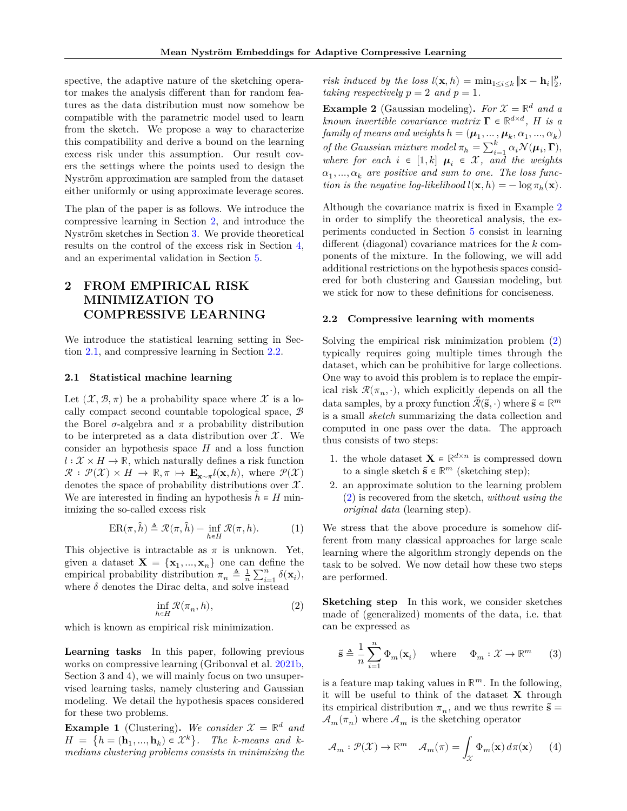spective, the adaptive nature of the sketching operator makes the analysis different than for random features as the data distribution must now somehow be compatible with the parametric model used to learn from the sketch. We propose a way to characterize this compatibility and derive a bound on the learning excess risk under this assumption. Our result covers the settings where the points used to design the Nyström approximation are sampled from the dataset either uniformly or using approximate leverage scores.

The plan of the paper is as follows. We introduce the compressive learning in Section [2,](#page-1-0) and introduce the Nyström sketches in Section [3.](#page-3-0) We provide theoretical results on the control of the excess risk in Section [4,](#page-4-0) and an experimental validation in Section [5.](#page-7-0)

# <span id="page-1-0"></span>**2 FROM EMPIRICAL RISK MINIMIZATION TO COMPRESSIVE LEARNING**

We introduce the statistical learning setting in Section [2.1,](#page-1-1) and compressive learning in Section [2.2.](#page-1-2)

## <span id="page-1-1"></span>**2.1 Statistical machine learning**

Let  $(\mathcal{X}, \mathcal{B}, \pi)$  be a probability space where X is a locally compact second countable topological space,  $\mathcal{B}$ the Borel  $\sigma$ -algebra and  $\pi$  a probability distribution to be interpreted as a data distribution over  $\mathcal{X}$ . We consider an hypothesis space  $H$  and a loss function  $l: \mathcal{X} \times H \to \mathbb{R}$ , which naturally defines a risk function  $\mathcal{R}: \mathcal{P}(\mathcal{X}) \times H \to \mathbb{R}, \pi \mapsto \mathbf{E}_{\mathbf{x} \sim \pi} l(\mathbf{x}, h)$ , where  $\mathcal{P}(\mathcal{X})$ denotes the space of probability distributions over  $\mathcal{X}$ . We are interested in finding an hypothesis  $h \in H$  minimizing the so-called excess risk

<span id="page-1-8"></span>
$$
ER(\pi,\hat{h}) \triangleq \mathcal{R}(\pi,\hat{h}) - \inf_{h \in H} \mathcal{R}(\pi,h).
$$
 (1)

This objective is intractable as  $\pi$  is unknown. Yet, given a dataset  $X = \{x_1, ..., x_n\}$  one can define the empirical probability distribution  $\pi_n \triangleq \frac{1}{n} \sum_{i=1}^n \delta(\mathbf{x}_i)$ , where  $\delta$  denotes the Dirac delta, and solve instead

<span id="page-1-4"></span>
$$
\inf_{h\in H} \mathcal{R}(\pi_n,h),\tag{2}
$$

which is known as empirical risk minimization.

**Learning tasks** In this paper, following previous works on compressive learning (Gribonval et al. [2021b,](#page-9-6) Section 3 and 4), we will mainly focus on two unsupervised learning tasks, namely clustering and Gaussian modeling. We detail the hypothesis spaces considered for these two problems.

<span id="page-1-6"></span>**Example 1** (Clustering). We consider  $\mathcal{X} = \mathbb{R}^d$  and  $H = \{h = (\mathbf{h}_1, ..., \mathbf{h}_k) \in \mathcal{X}^k\}.$  The k-means and k*medians clustering problems consists in minimizing the*

*risk induced by the loss*  $l(\mathbf{x}, h) = \min_{1 \leq i \leq k} ||\mathbf{x} - \mathbf{h}_i||_2^p$ , *taking respectively*  $p = 2$  *and*  $p = 1$ *.* 

<span id="page-1-3"></span>**Example 2** (Gaussian modeling). *For*  $\mathcal{X} = \mathbb{R}^d$  *and a known invertible covariance matrix*  $\mathbf{\Gamma} \in \mathbb{R}^{d \times d}$ , *H* is a  $family~of~means~and~weights~h = (\mu_1, \ldots, \mu_k, \alpha_1, ..., \alpha_k)$ *of the Gaussian mixture model*  $\pi_h = \sum_{i=1}^k \alpha_i \mathcal{N}(\mu_i, \Gamma)$ , *where for each*  $i \in [1, k]$   $\mu_i \in \mathcal{X}$ , and the weights  $\alpha_1, ..., \alpha_k$  are positive and sum to one. The loss func*tion is the negative log-likelihood*  $l(\mathbf{x}, h) = -\log \pi_h(\mathbf{x})$ *.* 

Although the covariance matrix is fixed in Example [2](#page-1-3) in order to simplify the theoretical analysis, the experiments conducted in Section [5](#page-7-0) consist in learning different (diagonal) covariance matrices for the  $k$  components of the mixture. In the following, we will add additional restrictions on the hypothesis spaces considered for both clustering and Gaussian modeling, but we stick for now to these definitions for conciseness.

#### <span id="page-1-2"></span>**2.2 Compressive learning with moments**

Solving the empirical risk minimization problem [\(2\)](#page-1-4) typically requires going multiple times through the dataset, which can be prohibitive for large collections. One way to avoid this problem is to replace the empirical risk  $\mathcal{R}(\pi_n, \cdot)$ , which explicitly depends on all the data samples, by a proxy function  $\tilde{\mathcal{R}}(\tilde{\mathbf{s}},\cdot)$  where  $\tilde{\mathbf{s}} \in \mathbb{R}^m$ is a small *sketch* summarizing the data collection and computed in one pass over the data. The approach thus consists of two steps:

- 1. the whole dataset  $\mathbf{X} \in \mathbb{R}^{d \times n}$  is compressed down to a single sketch  $\tilde{\mathbf{s}} \in \mathbb{R}^m$  (sketching step);
- 2. an approximate solution to the learning problem [\(2\)](#page-1-4) is recovered from the sketch, *without using the original data* (learning step).

We stress that the above procedure is somehow different from many classical approaches for large scale learning where the algorithm strongly depends on the task to be solved. We now detail how these two steps are performed.

**Sketching step** In this work, we consider sketches made of (generalized) moments of the data, i.e. that can be expressed as

<span id="page-1-5"></span>
$$
\tilde{\mathbf{s}} \triangleq \frac{1}{n} \sum_{i=1}^{n} \Phi_m(\mathbf{x}_i) \quad \text{ where } \quad \Phi_m: \mathcal{X} \to \mathbb{R}^m \qquad (3)
$$

is a feature map taking values in  $\mathbb{R}^m$ . In the following, it will be useful to think of the dataset  $X$  through its empirical distribution  $\pi_n$ , and we thus rewrite  $\tilde{\mathbf{s}} =$  $\mathcal{A}_{m}(\pi_{n})$  where  $\mathcal{A}_{m}$  is the sketching operator

<span id="page-1-7"></span>
$$
\mathcal{A}_m : \mathcal{P}(\mathcal{X}) \to \mathbb{R}^m \quad \mathcal{A}_m(\pi) = \int_{\mathcal{X}} \Phi_m(\mathbf{x}) \, d\pi(\mathbf{x}) \qquad (4)
$$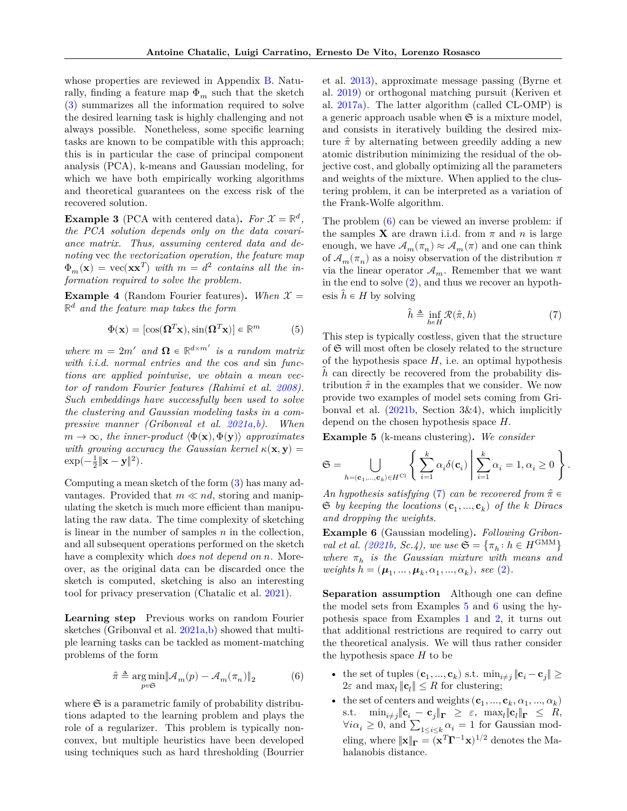whose properties are reviewed in Appendix [B.](#page-12-0) Naturally, finding a feature map  $\Phi_m$  such that the sketch [\(3\)](#page-1-5) summarizes all the information required to solve the desired learning task is highly challenging and not always possible. Nonetheless, some specific learning tasks are known to be compatible with this approach; this is in particular the case of principal component analysis (PCA), k-means and Gaussian modeling, for which we have both empirically working algorithms and theoretical guarantees on the excess risk of the recovered solution.

**Example 3** (PCA with centered data). *For*  $\mathcal{X} = \mathbb{R}^d$ , *the PCA solution depends only on the data covariance matrix. Thus, assuming centered data and denoting* vec *the vectorization operation, the feature map*  $\Phi_m(\mathbf{x}) = \text{vec}(\mathbf{x}\mathbf{x}^T)$  with  $m = d^2$  contains all the in*formation required to solve the problem.*

**Example 4** (Random Fourier features). When  $\mathcal{X} =$ ℝ *and the feature map takes the form*

<span id="page-2-4"></span>
$$
\Phi(\mathbf{x}) = [\cos(\mathbf{\Omega}^T \mathbf{x}), \sin(\mathbf{\Omega}^T \mathbf{x})] \in \mathbb{R}^m \tag{5}
$$

*where*  $m = 2m'$  *and*  $\Omega \in \mathbb{R}^{d \times m'}$  *is a random matrix with i.i.d. normal entries and the* cos *and* sin *functions are applied pointwise, we obtain a mean vector of random Fourier features (Rahimi et al. [2008\)](#page-9-1). Such embeddings have successfully been used to solve the clustering and Gaussian modeling tasks in a compressive manner (Gribonval et al. [2021a,](#page-9-2)[b\)](#page-9-6). When*  $m \to \infty$ *, the inner-product*  $\langle \Phi(\mathbf{x}), \Phi(\mathbf{y}) \rangle$  *approximates* with growing accuracy the Gaussian kernel  $\kappa(\mathbf{x}, \mathbf{y}) =$  $\exp(-\frac{1}{2}\|\mathbf{x}-\mathbf{y}\|^2).$ 

Computing a mean sketch of the form [\(3\)](#page-1-5) has many advantages. Provided that  $m \ll nd$ , storing and manipulating the sketch is much more efficient than manipulating the raw data. The time complexity of sketching is linear in the number of samples  $n$  in the collection, and all subsequent operations performed on the sketch have a complexity which *does not depend on n*. Moreover, as the original data can be discarded once the sketch is computed, sketching is also an interesting tool for privacy preservation (Chatalic et al. [2021\)](#page-9-7).

**Learning step** Previous works on random Fourier sketches (Gribonval et al. [2021a](#page-9-2)[,b\)](#page-9-6) showed that multiple learning tasks can be tackled as moment-matching problems of the form

<span id="page-2-0"></span>
$$
\hat{\pi} \triangleq \mathop{\arg\min}_{p\in\mathfrak{S}} \lVert \mathcal{A}_m(p) - \mathcal{A}_m(\pi_n) \rVert_2 \eqno(6)
$$

where  $\mathfrak S$  is a parametric family of probability distributions adapted to the learning problem and plays the role of a regularizer. This problem is typically nonconvex, but multiple heuristics have been developed using techniques such as hard thresholding (Bourrier et al. [2013\)](#page-8-0), approximate message passing (Byrne et al. [2019\)](#page-8-1) or orthogonal matching pursuit (Keriven et al. [2017a\)](#page-9-3). The latter algorithm (called CL-OMP) is a generic approach usable when  $\mathfrak S$  is a mixture model, and consists in iteratively building the desired mixture  $\hat{\pi}$  by alternating between greedily adding a new atomic distribution minimizing the residual of the objective cost, and globally optimizing all the parameters and weights of the mixture. When applied to the clustering problem, it can be interpreted as a variation of the Frank-Wolfe algorithm.

The problem [\(6\)](#page-2-0) can be viewed an inverse problem: if the samples **X** are drawn i.i.d. from  $\pi$  and  $n$  is large enough, we have  $\mathcal{A}_m(\pi_n) \approx \mathcal{A}_m(\pi)$  and one can think of  $\mathcal{A}_m(\pi_n)$  as a noisy observation of the distribution  $\pi$ via the linear operator  $A_m$ . Remember that we want in the end to solve [\(2\)](#page-1-4), and thus we recover an hypothesis  $\hat{h} \in H$  by solving

<span id="page-2-1"></span>
$$
\hat{h} \triangleq \inf_{h \in H} \mathcal{R}(\hat{\pi}, h) \tag{7}
$$

This step is typically costless, given that the structure of  $\mathfrak S$  will most often be closely related to the structure of the hypothesis space  $H$ , i.e. an optimal hypothesis  $h$  can directly be recovered from the probability distribution  $\hat{\pi}$  in the examples that we consider. We now provide two examples of model sets coming from Gribonval et al. [\(2021b,](#page-9-6) Section 3&4), which implicitly depend on the chosen hypothesis space  $H$ .

<span id="page-2-2"></span>**Example 5** (k-means clustering)**.** *We consider*

$$
\mathfrak{S} = \bigcup_{h = (\mathbf{c}_1, \dots, \mathbf{c}_k) \in H^{\mathrm{Cl}}} \left\{ \left. \sum_{i=1}^k \alpha_i \delta(\mathbf{c}_i) \, \right| \sum_{i=1}^k \alpha_i = 1, \alpha_i \ge 0 \right. \right\}.
$$

*An hypothesis satisfying* [\(7\)](#page-2-1) *can be recovered from*  $\hat{\pi} \in$  $\mathfrak{S}$  by keeping the locations  $(\mathbf{c}_1, ..., \mathbf{c}_k)$  of the k Diracs *and dropping the weights.*

<span id="page-2-3"></span>**Example 6** (Gaussian modeling)**.** *Following Gribonval et al.* [\(2021b,](#page-9-6) *Sc.4*), we use  $\mathfrak{S} = {\pi_h : h \in H^{\text{GMM}}}$  $where \pi_h$  is the Gaussian mixture with means and  $weights \; h = (\mu_1, ..., \mu_k, \alpha_1, ..., \alpha_k), \; see \; (2).$  $weights \; h = (\mu_1, ..., \mu_k, \alpha_1, ..., \alpha_k), \; see \; (2).$  $weights \; h = (\mu_1, ..., \mu_k, \alpha_1, ..., \alpha_k), \; see \; (2).$ 

**Separation assumption** Although one can define the model sets from Examples [5](#page-2-2) and [6](#page-2-3) using the hypothesis space from Examples [1](#page-1-6) and [2,](#page-1-3) it turns out that additional restrictions are required to carry out the theoretical analysis. We will thus rather consider the hypothesis space  $H$  to be

- the set of tuples  $(\mathbf{c}_1, ..., \mathbf{c}_k)$  s.t.  $\min_{i \neq j} ||\mathbf{c}_i \mathbf{c}_j|| \ge$  $2\varepsilon$  and  $\max_l \|\mathbf{c}_l\| \leq R$  for clustering;
- the set of centers and weights  $(\mathbf{c}_1, ..., \mathbf{c}_k, \alpha_1, ..., \alpha_k)$ s.t.  $\min_{i \neq j} \|\mathbf{c}_i - \mathbf{c}_j\|_{\mathbf{\Gamma}} \geq \varepsilon, \ \max_{l} \|\mathbf{c}_l\|_{\mathbf{\Gamma}} \leq R,$  $\forall i \alpha_i \geq 0$ , and  $\sum_{1 \leq i \leq k} \alpha_i = 1$  for Gaussian modeling, where  $\|\mathbf{x}\|_{\mathbf{\Gamma}} = (\mathbf{x}^T \mathbf{\Gamma}^{-1} \mathbf{x})^{1/2}$  denotes the Mahalanobis distance.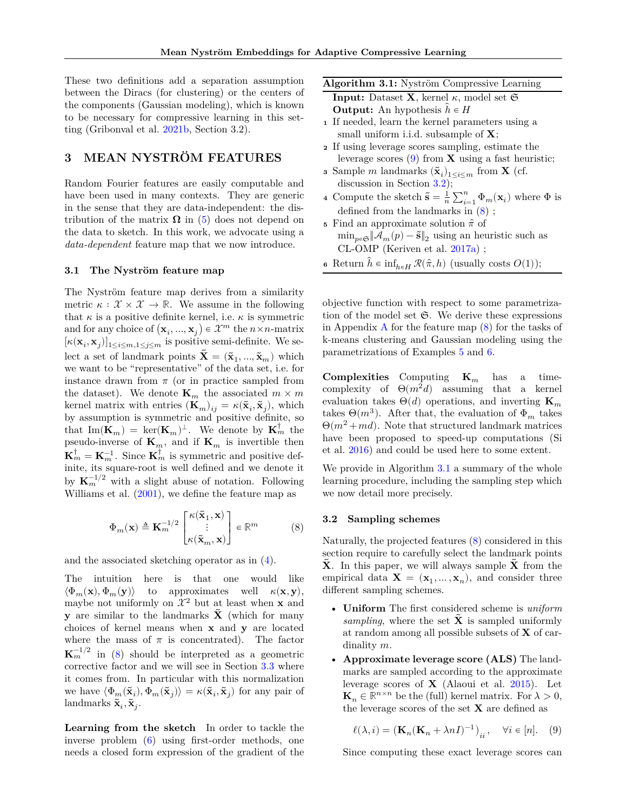These two definitions add a separation assumption between the Diracs (for clustering) or the centers of the components (Gaussian modeling), which is known to be necessary for compressive learning in this setting (Gribonval et al. [2021b,](#page-9-6) Section 3.2).

# <span id="page-3-0"></span>**3 MEAN NYSTRÖM FEATURES**

Random Fourier features are easily computable and have been used in many contexts. They are generic in the sense that they are data-independent: the distribution of the matrix  $\Omega$  in [\(5\)](#page-2-4) does not depend on the data to sketch. In this work, we advocate using a *data-dependent* feature map that we now introduce.

## <span id="page-3-5"></span>**3.1 The Nyström feature map**

The Nyström feature map derives from a similarity metric  $\kappa : \mathcal{X} \times \mathcal{X} \to \mathbb{R}$ . We assume in the following that  $\kappa$  is a positive definite kernel, i.e.  $\kappa$  is symmetric and for any choice of  $(\mathbf{x}_i, ..., \mathbf{x}_j) \in \mathcal{X}^m$  the  $n \times n$ -matrix  $[\kappa(\mathbf{x}_i, \mathbf{x}_j)]_{1 \leq i \leq m, 1 \leq j \leq m}$  is positive semi-definite. We select a set of landmark points  $\tilde{\mathbf{X}} = (\tilde{\mathbf{x}}_1, ..., \tilde{\mathbf{x}}_m)$  which we want to be "representative" of the data set, i.e. for instance drawn from  $\pi$  (or in practice sampled from the dataset). We denote  $\mathbf{K}_m$  the associated  $m \times m$ kernel matrix with entries  $(\mathbf{K}_m)_{ij} = \kappa(\tilde{\mathbf{x}}_i, \tilde{\mathbf{x}}_j)$ , which by assumption is symmetric and positive definite, so that  $\text{Im}(\mathbf{K}_m) = \text{ker}(\mathbf{K}_m)^{\perp}$ . We denote by  $\mathbf{K}_m^{\dagger}$  the pseudo-inverse of  $\mathbf{K}_m$ , and if  $\mathbf{K}_m$  is invertible then  $\mathbf{K}_m^{\dagger} = \mathbf{K}_m^{-1}$ . Since  $\mathbf{K}_m^{\dagger}$  is symmetric and positive definite, its square-root is well defined and we denote it by  $\mathbf{K}_m^{-1/2}$  with a slight abuse of notation. Following Williams et al. [\(2001\)](#page-10-2), we define the feature map as

<span id="page-3-1"></span>
$$
\Phi_m(\mathbf{x}) \triangleq \mathbf{K}_m^{-1/2} \begin{bmatrix} \kappa(\tilde{\mathbf{x}}_1, \mathbf{x}) \\ \vdots \\ \kappa(\tilde{\mathbf{x}}_m, \mathbf{x}) \end{bmatrix} \in \mathbb{R}^m \tag{8}
$$

and the associated sketching operator as in [\(4\)](#page-1-7).

The intuition here is that one would like  $\langle \Phi_m(\mathbf{x}), \Phi_m(\mathbf{y}) \rangle$  to approximates well  $\kappa(\mathbf{x}, \mathbf{y}),$ maybe not uniformly on  $\mathcal{X}^2$  but at least when **x** and **y** are similar to the landmarks  $\hat{\mathbf{X}}$  (which for many choices of kernel means when  $x$  and  $y$  are located where the mass of  $\pi$  is concentrated). The factor  $\mathbf{K}_m^{-1/2}$  in [\(8\)](#page-3-1) should be interpreted as a geometric corrective factor and we will see in Section [3.3](#page-4-1) where it comes from. In particular with this normalization we have  $\langle \Phi_m(\tilde{\mathbf{x}}_i), \Phi_m(\tilde{\mathbf{x}}_j) \rangle = \kappa(\tilde{\mathbf{x}}_i, \tilde{\mathbf{x}}_j)$  for any pair of landmarks  $\tilde{\mathbf{x}}_i, \tilde{\mathbf{x}}_j$ .

**Learning from the sketch** In order to tackle the inverse problem [\(6\)](#page-2-0) using first-order methods, one needs a closed form expression of the gradient of the

<span id="page-3-4"></span>

| Algorithm 3.1: Nyström Compressive Learning                                 |
|-----------------------------------------------------------------------------|
| <b>Input:</b> Dataset <b>X</b> , kernel $\kappa$ , model set $\mathfrak{S}$ |
| <b>Output:</b> An hypothesis $h \in H$                                      |

- **<sup>1</sup>** If needed, learn the kernel parameters using a small uniform i.i.d. subsample of  $X$ ;
- **<sup>2</sup>** If using leverage scores sampling, estimate the leverage scores  $(9)$  from **X** using a fast heuristic;
- **3** Sample *m* landmarks  $(\tilde{\mathbf{x}}_i)_{1 \leq i \leq m}$  from **X** (cf. discussion in Section [3.2\)](#page-3-3);
- **4** Compute the sketch  $\tilde{\mathbf{s}} = \frac{1}{n} \sum_{i=1}^{n} \Phi_m(\mathbf{x}_i)$  where  $\Phi$  is defined from the landmarks in [\(8\)](#page-3-1) ;
- $\mathfrak s\,$  Find an approximate solution  $\hat\pi$  of  $\min_{p \in \mathfrak{S}} \|\mathcal{A}_m(p) - \tilde{\mathbf{s}}\|_2$  using an heuristic such as CL-OMP (Keriven et al. [2017a\)](#page-9-3) ;
- **6** Return  $\hat{h} \in \inf_{h \in H} \mathcal{R}(\hat{\pi}, h)$  (usually costs  $O(1)$ );

objective function with respect to some parametrization of the model set  $\mathfrak{S}$ . We derive these expressions in [A](#page-11-0)ppendix  $\overline{A}$  for the feature map  $(8)$  for the tasks of k-means clustering and Gaussian modeling using the parametrizations of Examples [5](#page-2-2) and [6.](#page-2-3)

**Complexities** Computing  $\mathbf{K}_m$  has a timecomplexity of  $\Theta(m^2d)$  assuming that a kernel evaluation takes  $\Theta(d)$  operations, and inverting  $\mathbf{K}_m$ takes  $\Theta(m^3)$ . After that, the evaluation of  $\Phi_m$  takes  $\Theta(m^2 + md)$ . Note that structured landmark matrices have been proposed to speed-up computations (Si et al. [2016\)](#page-10-3) and could be used here to some extent.

We provide in Algorithm [3.1](#page-3-4) a summary of the whole learning procedure, including the sampling step which we now detail more precisely.

## <span id="page-3-3"></span>**3.2 Sampling schemes**

Naturally, the projected features [\(8\)](#page-3-1) considered in this section require to carefully select the landmark points  $X$ . In this paper, we will always sample  $X$  from the empirical data  $\mathbf{X} = (\mathbf{x}_1, ..., \mathbf{x}_n)$ , and consider three different sampling schemes.

- **Uniform** The first considered scheme is *uniform sampling*, where the set  $\hat{\mathbf{X}}$  is sampled uniformly at random among all possible subsets of  $X$  of cardinality  $m$ .
- **Approximate leverage score (ALS)** The landmarks are sampled according to the approximate leverage scores of  $X$  (Alaoui et al. [2015\)](#page-8-2). Let  $\mathbf{K}_n \in \mathbb{R}^{n \times n}$  be the (full) kernel matrix. For  $\lambda > 0$ , the leverage scores of the set  $X$  are defined as

<span id="page-3-2"></span>
$$
\ell(\lambda,i)=\left(\mathbf{K}_n(\mathbf{K}_n+\lambda nI)^{-1}\right)_{ii},\quad \forall i\in[n].\quad (9)
$$

Since computing these exact leverage scores can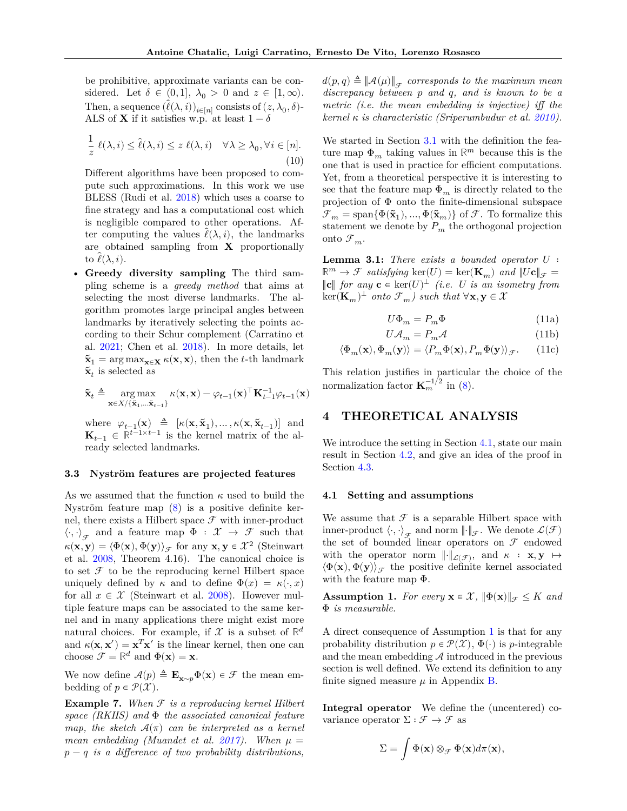be prohibitive, approximate variants can be considered. Let  $\delta \in (0,1], \lambda_0 > 0$  and  $z \in [1,\infty)$ . Then, a sequence  $(\hat{\ell}(\lambda, i))_{i \in [n]}$  consists of  $(z, \lambda_0, \delta)$ -ALS of **X** if it satisfies w.p. at least  $1 - \delta$ 

$$
\frac{1}{z}\,\ell(\lambda,i)\leq\hat{\ell}(\lambda,i)\leq z\,\ell(\lambda,i)\quad\forall\lambda\geq\lambda_0,\forall i\in[n].\tag{10}
$$

Different algorithms have been proposed to compute such approximations. In this work we use BLESS (Rudi et al. [2018\)](#page-9-8) which uses a coarse to fine strategy and has a computational cost which is negligible compared to other operations. After computing the values  $\ell(\lambda, i)$ , the landmarks are obtained sampling from  $X$  proportionally to  $\ell(\lambda, i)$ .

• **Greedy diversity sampling** The third sampling scheme is a *greedy method* that aims at selecting the most diverse landmarks. The algorithm promotes large principal angles between landmarks by iteratively selecting the points according to their Schur complement (Carratino et al. [2021;](#page-8-3) Chen et al. [2018\)](#page-9-9). In more details, let  $\tilde{\mathbf{x}}_1 = \arg \max_{\mathbf{x} \in \mathbf{X}} \kappa(\mathbf{x}, \mathbf{x})$ , then the t-th landmark  $\tilde{\mathbf{x}}_t$  is selected as

$$
\tilde{\mathbf{x}}_t \triangleq \mathop{\arg\max}_{\mathbf{x} \in X / \{\tilde{\mathbf{x}}_1, \dots \tilde{\mathbf{x}}_{t-1}\}} \kappa(\mathbf{x}, \mathbf{x}) - \varphi_{t-1}(\mathbf{x})^\top \mathbf{K}_{t-1}^{-1} \varphi_{t-1}(\mathbf{x})
$$

where  $\varphi_{t-1}(\mathbf{x}) \triangleq [\kappa(\mathbf{x}, \tilde{\mathbf{x}}_1), \dots, \kappa(\mathbf{x}, \tilde{\mathbf{x}}_{t-1})]$  and  $\mathbf{K}_{t-1} \in \mathbb{R}^{t-1 \times t-1}$  is the kernel matrix of the already selected landmarks.

#### <span id="page-4-1"></span>**3.3 Nyström features are projected features**

As we assumed that the function  $\kappa$  used to build the Nyström feature map [\(8\)](#page-3-1) is a positive definite kernel, there exists a Hilbert space  $\mathcal F$  with inner-product  $\langle \cdot, \cdot \rangle_{\mathcal{F}}$  and a feature map  $\Phi : \mathcal{X} \to \mathcal{F}$  such that  $\kappa(\mathbf{x}, \mathbf{y}) = \langle \Phi(\mathbf{x}), \Phi(\mathbf{y}) \rangle_{\mathcal{F}}$  for any  $\mathbf{x}, \mathbf{y} \in \mathcal{X}^2$  (Steinwart et al. [2008,](#page-10-4) Theorem 4.16). The canonical choice is to set  $\mathcal F$  to be the reproducing kernel Hilbert space uniquely defined by  $\kappa$  and to define  $\Phi(x) = \kappa(\cdot, x)$ for all  $x \in \mathcal{X}$  (Steinwart et al. [2008\)](#page-10-4). However multiple feature maps can be associated to the same kernel and in many applications there might exist more natural choices. For example, if  $\mathcal X$  is a subset of  $\mathbb R^d$ and  $\kappa(\mathbf{x}, \mathbf{x}') = \mathbf{x}^T \mathbf{x}'$  is the linear kernel, then one can choose  $\mathcal{F} = \mathbb{R}^d$  and  $\Phi(\mathbf{x}) = \mathbf{x}$ .

We now define  $\mathcal{A}(p) \triangleq \mathbf{E}_{\mathbf{x} \sim p} \Phi(\mathbf{x}) \in \mathcal{F}$  the mean embedding of  $p \in \mathcal{P}(\mathcal{X})$ .

**Example 7.** When  $\mathcal F$  *is a reproducing kernel Hilbert space (RKHS) and* Φ *the associated canonical feature map, the sketch*  $\mathcal{A}(\pi)$  *can be interpreted as a kernel mean embedding (Muandet et al. [2017\)](#page-9-5). When*  $\mu$ − *is a difference of two probability distributions,*  $d(p,q) \triangleq {\|\mathcal{A}(\mu)\|}_{\mathcal{F}}$  corresponds to the maximum mean *discrepancy between and , and is known to be a metric (i.e. the mean embedding is injective) iff the kernel is characteristic (Sriperumbudur et al. [2010\)](#page-10-1).*

We started in Section [3.1](#page-3-5) with the definition the feature map  $\Phi_m$  taking values in  $\mathbb{R}^m$  because this is the one that is used in practice for efficient computations. Yet, from a theoretical perspective it is interesting to see that the feature map  $\Phi_m$  is directly related to the projection of  $\Phi$  onto the finite-dimensional subspace  $\mathcal{F}_m = \text{span}\{\Phi(\tilde{\mathbf{x}}_1), ..., \Phi(\tilde{\mathbf{x}}_m)\}\$  of  $\mathcal{F}$ . To formalize this statement we denote by  $P_m$  the orthogonal projection onto  $\mathcal{F}_m$ .

<span id="page-4-4"></span>**Lemma 3.1:** *There exists a bounded operator*  $U$ :  $\mathbb{R}^m \to \mathcal{F}$  *satisfying*  $\ker(U) = \ker(\mathbf{K}_m)$  *and*  $||U\mathbf{c}||_{\mathcal{F}} =$  $\|{\bf c}\|$  *for any*  ${\bf c} \in \text{ker}(U)^{\perp}$  *(i.e. U is an isometry from*  $\ker(\mathbf{K}_m)^{\perp}$  *onto*  $\mathcal{F}_m$ *)* such that  $\forall \mathbf{x}, \mathbf{y} \in \mathcal{X}$ 

<span id="page-4-7"></span><span id="page-4-6"></span><span id="page-4-5"></span>
$$
U\Phi_m = P_m \Phi \tag{11a}
$$

$$
U\mathcal{A}_m = P_m\mathcal{A}
$$
 (11b)

$$
\langle \Phi_m(\mathbf{x}), \Phi_m(\mathbf{y}) \rangle = \langle P_m \Phi(\mathbf{x}), P_m \Phi(\mathbf{y}) \rangle_{\mathcal{F}}.
$$
 (11c)

This relation justifies in particular the choice of the normalization factor  $\mathbf{K}_m^{-1/2}$  in [\(8\)](#page-3-1).

## <span id="page-4-0"></span>**4 THEORETICAL ANALYSIS**

We introduce the setting in Section [4.1,](#page-4-2) state our main result in Section [4.2,](#page-5-0) and give an idea of the proof in Section [4.3.](#page-6-0)

## <span id="page-4-2"></span>**4.1 Setting and assumptions**

We assume that  $\mathcal F$  is a separable Hilbert space with inner-product  $\langle \cdot, \cdot \rangle_{\mathcal{F}}$  and norm  $\|\cdot\|_{\mathcal{F}}$ . We denote  $\mathcal{L}(\mathcal{F})$ the set of bounded linear operators on  $\mathcal F$  endowed with the operator norm  $\lVert \cdot \rVert_{\mathcal{L}(\mathcal{F})}$ , and  $\kappa : \mathbf{x}, \mathbf{y} \mapsto$  $\langle \Phi(\mathbf{x}), \Phi(\mathbf{y}) \rangle_{\mathcal{F}}$  the positive definite kernel associated with the feature map Φ.

<span id="page-4-3"></span>**Assumption 1.** For every  $\mathbf{x} \in \mathcal{X}$ ,  $\|\Phi(\mathbf{x})\|_{\mathcal{F}} \leq K$  and Φ *is measurable.*

A direct consequence of Assumption [1](#page-4-3) is that for any probability distribution  $p \in \mathcal{P}(\mathcal{X}), \Phi(\cdot)$  is p-integrable and the mean embedding  $A$  introduced in the previous section is well defined. We extend its definition to any finite signed measure  $\mu$  in Appendix [B.](#page-12-0)

**Integral operator** We define the (uncentered) covariance operator  $\Sigma : \mathcal{F} \to \mathcal{F}$  as

$$
\Sigma = \int \Phi(\mathbf{x}) \otimes_{\mathcal{F}} \Phi(\mathbf{x}) d\pi(\mathbf{x}),
$$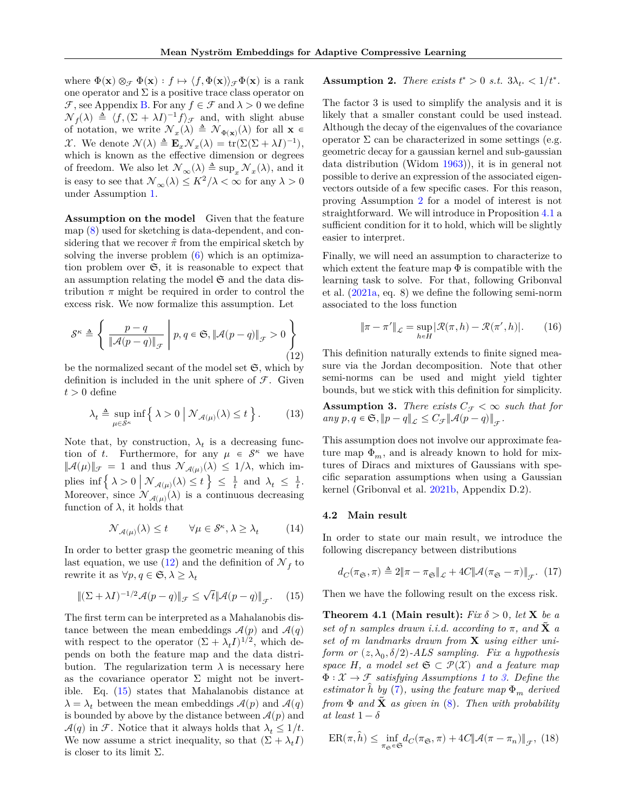where  $\Phi(\mathbf{x}) \otimes_{\mathcal{F}} \Phi(\mathbf{x}) : f \mapsto \langle f, \Phi(\mathbf{x}) \rangle_{\mathcal{F}} \Phi(\mathbf{x})$  is a rank one operator and  $\Sigma$  is a positive trace class operator on  $\mathcal F$ , see Appendix [B.](#page-12-0) For any  $f \in \mathcal F$  and  $\lambda > 0$  we define  $\mathcal{N}_f(\lambda) \triangleq \langle f, (\Sigma + \lambda I)^{-1} f \rangle_{\mathcal{F}}$  and, with slight abuse of notation, we write  $\mathcal{N}_x(\lambda) \triangleq \mathcal{N}_{\Phi(\mathbf{x})}(\lambda)$  for all  $\mathbf{x} \in \mathcal{N}_{\Phi(\mathbf{x})}(\lambda)$  $\mathcal{X}$ . We denote  $\mathcal{N}(\lambda) \triangleq \mathbf{E}_x \mathcal{N}_x(\lambda) = \text{tr}(\Sigma(\Sigma + \lambda I)^{-1}),$ which is known as the effective dimension or degrees of freedom. We also let  $\mathcal{N}_{\infty}(\lambda) \triangleq \sup_{x} \mathcal{N}_{x}(\lambda)$ , and it is easy to see that  $\mathcal{N}_{\infty}(\lambda) \leq K^2/\lambda < \infty$  for any  $\lambda > 0$ under Assumption [1.](#page-4-3)

**Assumption on the model** Given that the feature map [\(8\)](#page-3-1) used for sketching is data-dependent, and considering that we recover  $\hat{\pi}$  from the empirical sketch by solving the inverse problem  $(6)$  which is an optimization problem over  $\mathfrak{S}$ , it is reasonable to expect that an assumption relating the model  $\mathfrak S$  and the data distribution  $\pi$  might be required in order to control the excess risk. We now formalize this assumption. Let

<span id="page-5-1"></span>
$$
\mathcal{S}^{\kappa} \triangleq \left\{ \left. \frac{p - q}{\|\mathcal{A}(p - q)\|_{\mathcal{F}}} \; \right| p, q \in \mathfrak{S}, \|\mathcal{A}(p - q)\|_{\mathcal{F}} > 0 \right\}
$$
(12)

be the normalized secant of the model set  $\mathfrak{S}$ , which by definition is included in the unit sphere of  $\mathcal F$ . Given  $t > 0$  define

<span id="page-5-7"></span>
$$
\lambda_t \triangleq \sup_{\mu \in \mathcal{S}^\kappa} \inf \left\{ \left. \lambda > 0 \, \right| \, \mathcal{N}_{\mathcal{A}(\mu)}(\lambda) \le t \, \right\}. \tag{13}
$$

Note that, by construction,  $\lambda_t$  is a decreasing function of t. Furthermore, for any  $\mu \in \mathcal{S}^{\kappa}$  we have  $\|\mathcal{A}(\mu)\|_{\mathcal{F}} \ = \ 1$  and thus  $\mathcal{N}_{\mathcal{A}(\mu)}(\lambda) \ \le \ 1/\lambda,$  which implies inf $\left\{ \lambda > 0 \mid \mathcal{N}_{\mathcal{A}(\mu)}(\lambda) \leq t \right\} \leq \frac{1}{t}$  and  $\lambda_t \leq \frac{1}{t}$ . Moreover, since  $\mathcal{N}_{\mathcal{A}(\mu)}(\lambda)$  is a continuous decreasing function of  $\lambda$ , it holds that

$$
\mathcal{N}_{\mathcal{A}(\mu)}(\lambda) \le t \qquad \forall \mu \in \mathcal{S}^{\kappa}, \lambda \ge \lambda_t \tag{14}
$$

In order to better grasp the geometric meaning of this last equation, we use  $(12)$  and the definition of  $\mathcal{N}_f$  to rewrite it as  $\forall p, q \in \mathfrak{S}, \lambda \geq \lambda_t$ 

<span id="page-5-2"></span>
$$
\|(\Sigma + \lambda I)^{-1/2} \mathcal{A}(p - q)\|_{\mathcal{F}} \le \sqrt{t} \|\mathcal{A}(p - q)\|_{\mathcal{F}}.\tag{15}
$$

<span id="page-5-3"></span>The first term can be interpreted as a Mahalanobis distance between the mean embeddings  $\mathcal{A}(p)$  and  $\mathcal{A}(q)$ with respect to the operator  $(\Sigma + \lambda_t I)^{1/2}$ , which depends on both the feature map and the data distribution. The regularization term  $\lambda$  is necessary here as the covariance operator  $\Sigma$  might not be invertible. Eq. [\(15\)](#page-5-2) states that Mahalanobis distance at  $\lambda = \lambda_t$  between the mean embeddings  $\mathcal{A}(p)$  and  $\mathcal{A}(q)$ is bounded by above by the distance between  $\mathcal{A}(p)$  and  $\mathcal{A}(q)$  in  $\mathcal{F}$ . Notice that it always holds that  $\lambda_t \leq 1/t$ . We now assume a strict inequality, so that  $(\Sigma + \lambda_t I)$ is closer to its limit  $\Sigma$ .

# **Assumption 2.** *There exists*  $t^* > 0$  *s.t.*  $3\lambda_{t^*} < 1/t^*$ .

The factor 3 is used to simplify the analysis and it is likely that a smaller constant could be used instead. Although the decay of the eigenvalues of the covariance operator  $\Sigma$  can be characterized in some settings (e.g. geometric decay for a gaussian kernel and sub-gaussian data distribution (Widom [1963\)](#page-10-5)), it is in general not possible to derive an expression of the associated eigenvectors outside of a few specific cases. For this reason, proving Assumption [2](#page-5-3) for a model of interest is not straightforward. We will introduce in Proposition [4.1](#page-6-1) a sufficient condition for it to hold, which will be slightly easier to interpret.

Finally, we will need an assumption to characterize to which extent the feature map  $\Phi$  is compatible with the learning task to solve. For that, following Gribonval et al. [\(2021a,](#page-9-2) eq. 8) we define the following semi-norm associated to the loss function

$$
\|\pi-\pi'\|_{\mathcal{L}}=\sup_{h\in H}|\mathcal{R}(\pi,h)-\mathcal{R}(\pi',h)|. \quad \quad (16)
$$

This definition naturally extends to finite signed measure via the Jordan decomposition. Note that other semi-norms can be used and might yield tighter bounds, but we stick with this definition for simplicity.

<span id="page-5-4"></span>**Assumption 3.** *There exists*  $C_{\tau} < \infty$  *such that for*  $any \ p, q \in \mathfrak{S}, \|p-q\|_{\mathcal{L}} \leq C_{\mathcal{F}} \|\mathcal{A}(p-q)\|_{\mathcal{F}}.$ 

This assumption does not involve our approximate feature map  $\Phi_m$ , and is already known to hold for mixtures of Diracs and mixtures of Gaussians with specific separation assumptions when using a Gaussian kernel (Gribonval et al. [2021b,](#page-9-6) Appendix D.2).

#### <span id="page-5-0"></span>**4.2 Main result**

In order to state our main result, we introduce the following discrepancy between distributions

$$
d_C(\pi_{\mathfrak{S}}, \pi) \triangleq 2\|\pi - \pi_{\mathfrak{S}}\|_{\mathcal{L}} + 4C\|\mathcal{A}(\pi_{\mathfrak{S}} - \pi)\|_{\mathcal{F}}.\eqno(17)
$$

Then we have the following result on the excess risk.

<span id="page-5-6"></span>**Theorem 4.1 (Main result):** *Fix*  $\delta > 0$ *, let* **X** *be a set of n* samples drawn *i.i.d.* according to  $\pi$ , and **X** *a* set of *m* landmarks drawn from **X** using either uni- $\emph{form or} \,\, (z, \lambda _0, \delta /2)$ -*ALS sampling. Fix a hypothesis space*  $H$ *, a model set*  $\mathfrak{S} \subset \mathcal{P}(\mathcal{X})$  *and a feature map*  $\Phi: \mathcal{X} \to \mathcal{F}$  *satisfying Assumptions [1](#page-4-3) to [3.](#page-5-4) Define the estimator*  $h$  *by* [\(7\)](#page-2-1)*, using the feature map*  $\Phi_m$  *derived from*  $\Phi$  *and*  $\tilde{\mathbf{X}}$  *as given in* [\(8\)](#page-3-1). Then with probability *at least*  $1 - \delta$ 

<span id="page-5-5"></span>
$$
ER(\pi,\hat{h}) \le \inf_{\pi_{\mathfrak{S}} \in \mathfrak{S}} d_C(\pi_{\mathfrak{S}}, \pi) + 4C \|\mathcal{A}(\pi - \pi_n)\|_{\mathcal{F}},
$$
(18)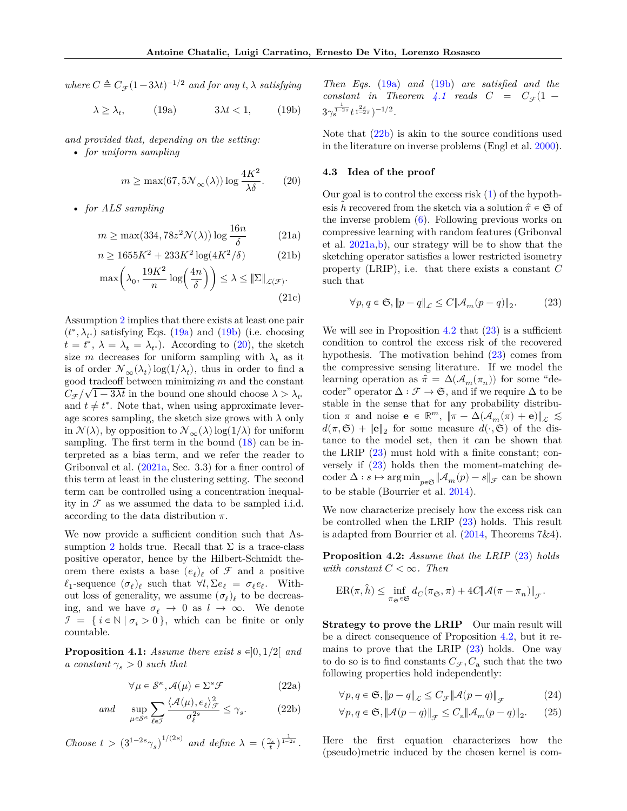*where*  $C \triangleq C_{\mathcal{F}} (1-3\lambda t)^{-1/2}$  *and for any*  $t, \lambda$  *satisfying* 

<span id="page-6-2"></span>
$$
\lambda \ge \lambda_t, \qquad (19a) \qquad 3\lambda t < 1, \qquad (19b)
$$

*and provided that, depending on the setting:*

• *for uniform sampling*

<span id="page-6-4"></span>
$$
m \geq \max(67,5 \mathcal{N}_\infty(\lambda))\log\frac{4K^2}{\lambda\delta}. \quad \quad (20)
$$

• *for ALS sampling*

$$
m \ge \max(334, 78z^2 \mathcal{N}(\lambda)) \log \frac{16n}{\delta} \qquad (21a)
$$

$$
n \ge 1655K^2 + 233K^2 \log(4K^2/\delta) \tag{21b}
$$

$$
\max\left(\lambda_0, \frac{19K^2}{n}\log\left(\frac{4n}{\delta}\right)\right) \le \lambda \le \|\Sigma\|_{\mathcal{L}(\mathcal{F})}.\tag{21c}
$$

Assumption [2](#page-5-3) implies that there exists at least one pair  $(t^*, \lambda_{t^*})$  satisfying Eqs. [\(19a\)](#page-6-2) and [\(19b\)](#page-6-3) (i.e. choosing  $t = t^*, \lambda = \lambda_t = \lambda_{t^*}$ . According to [\(20\)](#page-6-4), the sketch size *m* decreases for uniform sampling with  $\lambda_t$  as it is of order  $\mathcal{N}_{\infty}(\lambda_t) \log(1/\lambda_t)$ , thus in order to find a good tradeoff between minimizing  $m$  and the constant  $C_{\mathcal{F}}/\sqrt{1-3\lambda t}$  in the bound one should choose  $\lambda > \lambda_{t^*}$ and  $t \neq t^*$ . Note that, when using approximate leverage scores sampling, the sketch size grows with  $\lambda$  only in  $\mathcal{N}(\lambda)$ , by opposition to  $\mathcal{N}_{\infty}(\lambda)$  log( $1/\lambda$ ) for uniform sampling. The first term in the bound [\(18\)](#page-5-5) can be interpreted as a bias term, and we refer the reader to Gribonval et al.  $(2021a, Sec. 3.3)$  for a finer control of this term at least in the clustering setting. The second term can be controlled using a concentration inequality in  $\mathcal F$  as we assumed the data to be sampled i.i.d. according to the data distribution  $\pi$ .

We now provide a sufficient condition such that As-sumption [2](#page-5-3) holds true. Recall that  $\Sigma$  is a trace-class positive operator, hence by the Hilbert-Schmidt theorem there exists a base  $(e_{\ell})_{\ell}$  of  $\mathcal F$  and a positive  $\ell_1$ -sequence  $(\sigma_{\ell})_{\ell}$  such that  $\forall l, \Sigma e_{\ell} = \sigma_{\ell} e_{\ell}$ . Without loss of generality, we assume  $(\sigma_{\ell})_{\ell}$  to be decreasing, and we have  $\sigma_{\ell} \to 0$  as  $l \to \infty$ . We denote  $\mathcal{I} = \{i \in \mathbb{N} \mid \sigma_i > 0\}$ , which can be finite or only countable.

<span id="page-6-1"></span>**Proposition 4.1:** *Assume there exist*  $s \in ]0, 1/2[$  *and a constant*  $\gamma_s > 0$  *such that* 

$$
\forall \mu \in \mathcal{S}^{\kappa}, \mathcal{A}(\mu) \in \Sigma^s \mathcal{F}
$$
 (22a)

$$
and \quad \sup_{\mu \in \mathcal{S}^{\kappa}} \sum_{\ell \in \mathcal{I}} \frac{\langle \mathcal{A}(\mu), e_{\ell} \rangle_{\mathcal{F}}^2}{\sigma_{\ell}^{2s}} \le \gamma_s. \tag{22b}
$$

*Choose*  $t > (3^{1-2s}\gamma_s)^{1/(2s)}$  *and define*  $\lambda = (\frac{\gamma_s}{t})^{\frac{1}{1-2s}}$ .

<span id="page-6-3"></span>*Then Eqs.* [\(19a\)](#page-6-2) *and* [\(19b\)](#page-6-3) *are satisfied and the*  $constant$  *in Theorem [4.1](#page-5-6) reads*  $C = C_{\mathcal{F}}(1 3\gamma_s^{\frac{1}{1-2s}}t^{\frac{2s}{1-2s}})^{-1/2}.$ 

Note that  $(22b)$  is akin to the source conditions used in the literature on inverse problems (Engl et al. [2000\)](#page-9-10).

#### <span id="page-6-0"></span>**4.3 Idea of the proof**

Our goal is to control the excess risk  $(1)$  of the hypothesis h recovered from the sketch via a solution  $\hat{\pi} \in \mathfrak{S}$  of the inverse problem [\(6\)](#page-2-0). Following previous works on compressive learning with random features (Gribonval et al. [2021a](#page-9-2)[,b\)](#page-9-6), our strategy will be to show that the sketching operator satisfies a lower restricted isometry property (LRIP), i.e. that there exists a constant  $C$ such that

<span id="page-6-7"></span>
$$
\forall p, q \in \mathfrak{S}, \|p - q\|_{\mathcal{L}} \le C \|\mathcal{A}_m(p - q)\|_2. \tag{23}
$$

<span id="page-6-10"></span>We will see in Proposition [4.2](#page-6-6) that  $(23)$  is a sufficient condition to control the excess risk of the recovered hypothesis. The motivation behind [\(23\)](#page-6-7) comes from the compressive sensing literature. If we model the learning operation as  $\hat{\pi} = \Delta(\mathcal{A}_m(\pi_n))$  for some "decoder" operator  $\Delta : \mathcal{F} \to \mathfrak{S}$ , and if we require  $\Delta$  to be stable in the sense that for any probability distribution  $\pi$  and noise  $\mathbf{e} \in \mathbb{R}^m$ ,  $\|\pi - \Delta(\mathcal{A}_m(\pi) + \mathbf{e})\|_{\mathcal{L}} \lesssim$  $d(\pi, \mathfrak{S}) + ||\mathbf{e}||_2$  for some measure  $d(\cdot, \mathfrak{S})$  of the distance to the model set, then it can be shown that the LRIP [\(23\)](#page-6-7) must hold with a finite constant; conversely if [\(23\)](#page-6-7) holds then the moment-matching decoder  $\Delta: s \mapsto \arg \min_{n \in \mathfrak{S}} ||\mathcal{A}_m(p) - s||_{\mathcal{F}}$  can be shown to be stable (Bourrier et al. [2014\)](#page-8-4).

We now characterize precisely how the excess risk can be controlled when the LRIP [\(23\)](#page-6-7) holds. This result is adapted from Bourrier et al. [\(2014,](#page-8-4) Theorems 7&4).

<span id="page-6-6"></span>**Proposition 4.2:** *Assume that the LRIP* [\(23\)](#page-6-7) *holds with constant*  $C < \infty$ *. Then* 

$$
\mathrm{ER}(\pi,\hat{h}) \leq \inf_{\pi_\mathfrak{S}\in\mathfrak{S}} d_C(\pi_\mathfrak{S},\pi) + 4C\|\mathcal{A}(\pi-\pi_n)\|_{\mathcal{F}}.
$$

**Strategy to prove the LRIP** Our main result will be a direct consequence of Proposition [4.2,](#page-6-6) but it remains to prove that the LRIP [\(23\)](#page-6-7) holds. One way to do so is to find constants  $C_{\mathcal{F}}$ ,  $C_{\mathbf{a}}$  such that the two following properties hold independently:

<span id="page-6-11"></span><span id="page-6-8"></span>
$$
\forall p, q \in \mathfrak{S}, \|p - q\|_{\mathcal{L}} \le C_{\mathcal{F}} \|\mathcal{A}(p - q)\|_{\mathcal{F}} \tag{24}
$$

<span id="page-6-9"></span>
$$
\forall p, q \in \mathfrak{S}, \|\mathcal{A}(p-q)\|_{\mathcal{F}} \le C_{\mathbf{a}} \|\mathcal{A}_m(p-q)\|_2. \tag{25}
$$

<span id="page-6-5"></span>Here the first equation characterizes how the (pseudo)metric induced by the chosen kernel is com-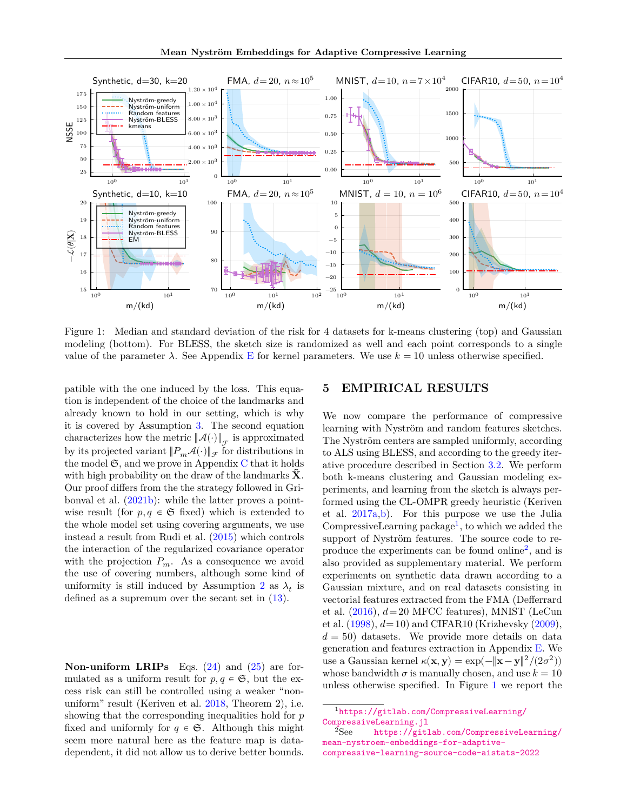

<span id="page-7-3"></span>Figure 1: Median and standard deviation of the risk for 4 datasets for k-means clustering (top) and Gaussian modeling (bottom). For BLESS, the sketch size is randomized as well and each point corresponds to a single value of the parameter  $\lambda$ . See Appendix [E](#page-18-0) for kernel parameters. We use  $k = 10$  unless otherwise specified.

patible with the one induced by the loss. This equation is independent of the choice of the landmarks and already known to hold in our setting, which is why it is covered by Assumption [3.](#page-5-4) The second equation characterizes how the metric  $\left\Vert \mathcal{A}(\cdot)\right\Vert _{\mathcal{F}}$  is approximated by its projected variant  $||P_m\mathcal{A}(\cdot)||_{\mathcal{F}}$  for distributions in the model  $\mathfrak{S}$ , and we prove in Appendix [C](#page-14-0) that it holds with high probability on the draw of the landmarks  $\bf{X}$ . Our proof differs from the the strategy followed in Gribonval et al. [\(2021b\)](#page-9-6): while the latter proves a pointwise result (for  $p, q \in \mathfrak{S}$  fixed) which is extended to the whole model set using covering arguments, we use instead a result from Rudi et al. [\(2015\)](#page-9-11) which controls the interaction of the regularized covariance operator with the projection  $P_m$ . As a consequence we avoid the use of covering numbers, although some kind of uniformity is still induced by Assumption [2](#page-5-3) as  $\lambda_t$  is defined as a supremum over the secant set in [\(13\)](#page-5-7).

**Non-uniform LRIPs** Eqs. [\(24\)](#page-6-8) and [\(25\)](#page-6-9) are formulated as a uniform result for  $p, q \in \mathfrak{S}$ , but the excess risk can still be controlled using a weaker "nonuniform" result (Keriven et al. [2018,](#page-9-12) Theorem 2), i.e. showing that the corresponding inequalities hold for  $p$ fixed and uniformly for  $q \in \mathfrak{S}$ . Although this might seem more natural here as the feature map is datadependent, it did not allow us to derive better bounds.

## <span id="page-7-0"></span>**5 EMPIRICAL RESULTS**

We now compare the performance of compressive learning with Nyström and random features sketches. The Nyström centers are sampled uniformly, according to ALS using BLESS, and according to the greedy iterative procedure described in Section [3.2.](#page-3-3) We perform both k-means clustering and Gaussian modeling experiments, and learning from the sketch is always performed using the CL-OMPR greedy heuristic (Keriven et al. [2017a,](#page-9-3)[b\)](#page-9-4). For this purpose we use the Julia CompressiveLearning package<sup>[1](#page-7-1)</sup>, to which we added the support of Nyström features. The source code to re-produce the experiments can be found online<sup>[2](#page-7-2)</sup>, and is also provided as supplementary material. We perform experiments on synthetic data drawn according to a Gaussian mixture, and on real datasets consisting in vectorial features extracted from the FMA (Defferrard et al.  $(2016)$ ,  $d=20$  MFCC features), MNIST (LeCun et al. [\(1998\)](#page-9-14),  $d = 10$ ) and CIFAR10 (Krizhevsky [\(2009\)](#page-9-15),  $d = 50$ ) datasets. We provide more details on data generation and features extraction in Appendix [E.](#page-18-0) We use a Gaussian kernel  $\kappa(\mathbf{x}, \mathbf{y}) = \exp(-\|\mathbf{x} - \mathbf{y}\|^2 / (2\sigma^2))$ whose bandwidth  $\sigma$  is manually chosen, and use  $k = 10$ unless otherwise specified. In Figure [1](#page-7-3) we report the

<span id="page-7-1"></span><sup>1</sup>[https://gitlab.com/CompressiveLearning/](https://gitlab.com/CompressiveLearning/CompressiveLearning.jl)

<span id="page-7-2"></span>[CompressiveLearning.jl](https://gitlab.com/CompressiveLearning/CompressiveLearning.jl)<br><sup>2</sup>See https://gitl [https://gitlab.com/CompressiveLearning/](https://gitlab.com/CompressiveLearning/mean-nystroem-embeddings-for-adaptive-compressive-learning-source-code-aistats-2022) [mean-nystroem-embeddings-for-adaptive](https://gitlab.com/CompressiveLearning/mean-nystroem-embeddings-for-adaptive-compressive-learning-source-code-aistats-2022)[compressive-learning-source-code-aistats-2022](https://gitlab.com/CompressiveLearning/mean-nystroem-embeddings-for-adaptive-compressive-learning-source-code-aistats-2022)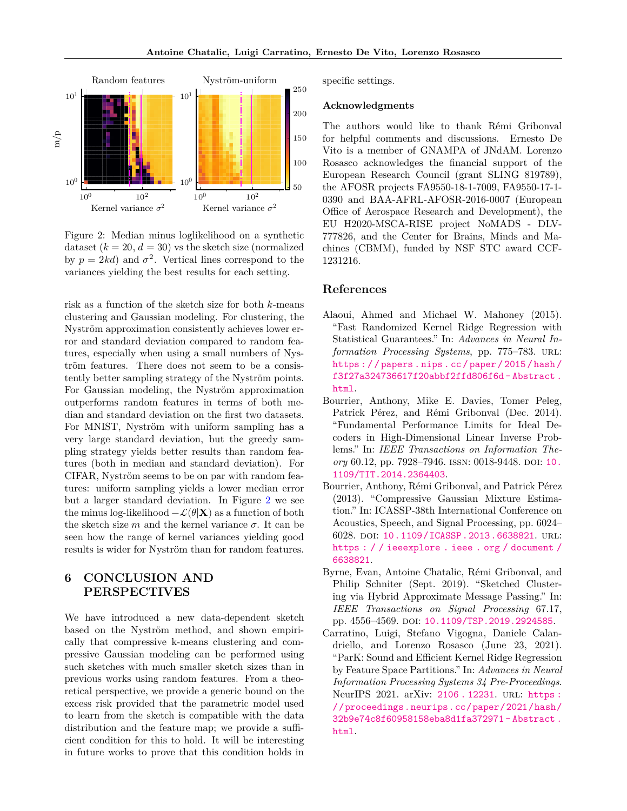

<span id="page-8-5"></span>Figure 2: Median minus loglikelihood on a synthetic dataset  $(k = 20, d = 30)$  vs the sketch size (normalized by  $p = 2kd$  and  $\sigma^2$ . Vertical lines correspond to the variances yielding the best results for each setting.

risk as a function of the sketch size for both  $k$ -means clustering and Gaussian modeling. For clustering, the Nyström approximation consistently achieves lower error and standard deviation compared to random features, especially when using a small numbers of Nyström features. There does not seem to be a consistently better sampling strategy of the Nyström points. For Gaussian modeling, the Nyström approximation outperforms random features in terms of both median and standard deviation on the first two datasets. For MNIST, Nyström with uniform sampling has a very large standard deviation, but the greedy sampling strategy yields better results than random features (both in median and standard deviation). For CIFAR, Nyström seems to be on par with random features: uniform sampling yields a lower median error but a larger standard deviation. In Figure [2](#page-8-5) we see the minus log-likelihood  $-\mathcal{L}(\theta|\mathbf{X})$  as a function of both the sketch size  $m$  and the kernel variance  $\sigma$ . It can be seen how the range of kernel variances yielding good results is wider for Nyström than for random features.

## **6 CONCLUSION AND PERSPECTIVES**

We have introduced a new data-dependent sketch based on the Nyström method, and shown empirically that compressive k-means clustering and compressive Gaussian modeling can be performed using such sketches with much smaller sketch sizes than in previous works using random features. From a theoretical perspective, we provide a generic bound on the excess risk provided that the parametric model used to learn from the sketch is compatible with the data distribution and the feature map; we provide a sufficient condition for this to hold. It will be interesting in future works to prove that this condition holds in specific settings.

## **Acknowledgments**

The authors would like to thank Rémi Gribonval for helpful comments and discussions. Ernesto De Vito is a member of GNAMPA of JNdAM. Lorenzo Rosasco acknowledges the financial support of the European Research Council (grant SLING 819789), the AFOSR projects FA9550-18-1-7009, FA9550-17-1- 0390 and BAA-AFRL-AFOSR-2016-0007 (European Office of Aerospace Research and Development), the EU H2020-MSCA-RISE project NoMADS - DLV-777826, and the Center for Brains, Minds and Machines (CBMM), funded by NSF STC award CCF-1231216.

## **References**

- <span id="page-8-2"></span>Alaoui, Ahmed and Michael W. Mahoney (2015). "Fast Randomized Kernel Ridge Regression with Statistical Guarantees." In: *Advances in Neural Information Processing Systems*, pp. 775–783. URL: [https : / / papers . nips . cc / paper / 2015 / hash /](https://papers.nips.cc/paper/2015/hash/f3f27a324736617f20abbf2ffd806f6d-Abstract.html) [f3f27a324736617f20abbf2ffd806f6d - Abstract .](https://papers.nips.cc/paper/2015/hash/f3f27a324736617f20abbf2ffd806f6d-Abstract.html) [html](https://papers.nips.cc/paper/2015/hash/f3f27a324736617f20abbf2ffd806f6d-Abstract.html).
- <span id="page-8-4"></span>Bourrier, Anthony, Mike E. Davies, Tomer Peleg, Patrick Pérez, and Rémi Gribonval (Dec. 2014). "Fundamental Performance Limits for Ideal Decoders in High-Dimensional Linear Inverse Problems." In: *IEEE Transactions on Information Theory* 60.12, pp. 7928-7946. ISSN: 0018-9448. DOI: [10.](https://doi.org/10.1109/TIT.2014.2364403) [1109/TIT.2014.2364403](https://doi.org/10.1109/TIT.2014.2364403).
- <span id="page-8-0"></span>Bourrier, Anthony, Rémi Gribonval, and Patrick Pérez (2013). "Compressive Gaussian Mixture Estimation." In: ICASSP-38th International Conference on Acoustics, Speech, and Signal Processing, pp. 6024– 6028. doi: [10.1109/ICASSP.2013.6638821](https://doi.org/10.1109/ICASSP.2013.6638821). url: [https : / / ieeexplore . ieee . org / document /](https://ieeexplore.ieee.org/document/6638821) [6638821](https://ieeexplore.ieee.org/document/6638821).
- <span id="page-8-1"></span>Byrne, Evan, Antoine Chatalic, Rémi Gribonval, and Philip Schniter (Sept. 2019). "Sketched Clustering via Hybrid Approximate Message Passing." In: *IEEE Transactions on Signal Processing* 67.17, pp. 4556-4569. doi: [10.1109/TSP.2019.2924585](https://doi.org/10.1109/TSP.2019.2924585).
- <span id="page-8-3"></span>Carratino, Luigi, Stefano Vigogna, Daniele Calandriello, and Lorenzo Rosasco (June 23, 2021). "ParK: Sound and Efficient Kernel Ridge Regression by Feature Space Partitions." In: *Advances in Neural Information Processing Systems 34 Pre-Proceedings*. NeurIPS 2021. arXiv: [2106 . 12231](https://arxiv.org/abs/2106.12231). url: [https :](https://proceedings.neurips.cc/paper/2021/hash/32b9e74c8f60958158eba8d1fa372971-Abstract.html) [//proceedings.neurips.cc/paper/2021/hash/](https://proceedings.neurips.cc/paper/2021/hash/32b9e74c8f60958158eba8d1fa372971-Abstract.html) [32b9e74c8f60958158eba8d1fa372971 - Abstract .](https://proceedings.neurips.cc/paper/2021/hash/32b9e74c8f60958158eba8d1fa372971-Abstract.html) [html](https://proceedings.neurips.cc/paper/2021/hash/32b9e74c8f60958158eba8d1fa372971-Abstract.html).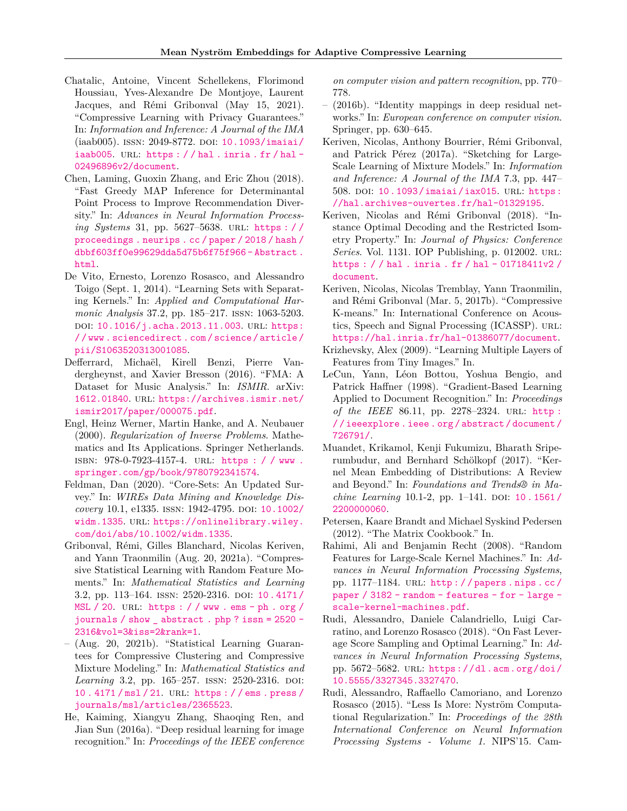- <span id="page-9-7"></span>Chatalic, Antoine, Vincent Schellekens, Florimond Houssiau, Yves-Alexandre De Montjoye, Laurent Jacques, and Rémi Gribonval (May 15, 2021). "Compressive Learning with Privacy Guarantees." In: *Information and Inference: A Journal of the IMA* (iaab005). ISSN: 2049-8772. DOI: [10.1093/imaiai/](https://doi.org/10.1093/imaiai/iaab005) [iaab005](https://doi.org/10.1093/imaiai/iaab005). URL: https :  $//$  hal . inria . fr  $/h$ al -[02496896v2/document](https://hal.inria.fr/hal-02496896v2/document).
- <span id="page-9-9"></span>Chen, Laming, Guoxin Zhang, and Eric Zhou (2018). "Fast Greedy MAP Inference for Determinantal Point Process to Improve Recommendation Diversity." In: *Advances in Neural Information Processing Systems* 31, pp. 5627–5638. url: [https : / /](https://proceedings.neurips.cc/paper/2018/hash/dbbf603ff0e99629dda5d75b6f75f966-Abstract.html) [proceedings . neurips . cc / paper / 2018 / hash /](https://proceedings.neurips.cc/paper/2018/hash/dbbf603ff0e99629dda5d75b6f75f966-Abstract.html) [dbbf603ff0e99629dda5d75b6f75f966 - Abstract .](https://proceedings.neurips.cc/paper/2018/hash/dbbf603ff0e99629dda5d75b6f75f966-Abstract.html) [html](https://proceedings.neurips.cc/paper/2018/hash/dbbf603ff0e99629dda5d75b6f75f966-Abstract.html).
- <span id="page-9-17"></span>De Vito, Ernesto, Lorenzo Rosasco, and Alessandro Toigo (Sept. 1, 2014). "Learning Sets with Separating Kernels." In: *Applied and Computational Harmonic Analysis* 37.2, pp. 185–217. issn: 1063-5203. doi: [10.1016/j.acha.2013.11.003](https://doi.org/10.1016/j.acha.2013.11.003). url: [https:](https://www.sciencedirect.com/science/article/pii/S1063520313001085) [/ / www . sciencedirect . com / science / article /](https://www.sciencedirect.com/science/article/pii/S1063520313001085) [pii/S1063520313001085](https://www.sciencedirect.com/science/article/pii/S1063520313001085).
- <span id="page-9-13"></span>Defferrard, Michaël, Kirell Benzi, Pierre Vandergheynst, and Xavier Bresson (2016). "FMA: A Dataset for Music Analysis." In: *ISMIR*. arXiv: [1612.01840](https://arxiv.org/abs/1612.01840). url: [https://archives.ismir.net/](https://archives.ismir.net/ismir2017/paper/000075.pdf) [ismir2017/paper/000075.pdf](https://archives.ismir.net/ismir2017/paper/000075.pdf).
- <span id="page-9-10"></span>Engl, Heinz Werner, Martin Hanke, and A. Neubauer (2000). *Regularization of Inverse Problems*. Mathematics and Its Applications. Springer Netherlands. isbn: 978-0-7923-4157-4. url: [https : / / www .](https://www.springer.com/gp/book/9780792341574) [springer.com/gp/book/9780792341574](https://www.springer.com/gp/book/9780792341574).
- <span id="page-9-0"></span>Feldman, Dan (2020). "Core-Sets: An Updated Survey." In: *WIREs Data Mining and Knowledge Discovery* 10.1, e1335. ISSN: 1942-4795. DOI: [10.1002/](https://doi.org/10.1002/widm.1335) [widm.1335](https://doi.org/10.1002/widm.1335). url: [https://onlinelibrary.wiley.](https://onlinelibrary.wiley.com/doi/abs/10.1002/widm.1335) [com/doi/abs/10.1002/widm.1335](https://onlinelibrary.wiley.com/doi/abs/10.1002/widm.1335).
- <span id="page-9-2"></span>Gribonval, Rémi, Gilles Blanchard, Nicolas Keriven, and Yann Traonmilin (Aug. 20, 2021a). "Compressive Statistical Learning with Random Feature Moments." In: *Mathematical Statistics and Learning* 3.2, pp. 113–164. issn: 2520-2316. doi: [10 . 4171 /](https://doi.org/10.4171/MSL/20) [MSL / 20](https://doi.org/10.4171/MSL/20). URL: https : / / www.ems-ph.org / [journals / show \\_ abstract . php ? issn = 2520 -](https://www.ems-ph.org/journals/show_abstract.php?issn=2520-2316&vol=3&iss=2&rank=1) [2316&vol=3&iss=2&rank=1](https://www.ems-ph.org/journals/show_abstract.php?issn=2520-2316&vol=3&iss=2&rank=1).
- <span id="page-9-6"></span>– (Aug. 20, 2021b). "Statistical Learning Guarantees for Compressive Clustering and Compressive Mixture Modeling." In: *Mathematical Statistics and Learning* 3.2, pp. 165–257. ISSN: 2520-2316. DOI: [10 . 4171 / msl / 21](https://doi.org/10.4171/msl/21). url: [https : / / ems . press /](https://ems.press/journals/msl/articles/2365523) [journals/msl/articles/2365523](https://ems.press/journals/msl/articles/2365523).
- <span id="page-9-18"></span>He, Kaiming, Xiangyu Zhang, Shaoqing Ren, and Jian Sun (2016a). "Deep residual learning for image recognition." In: *Proceedings of the IEEE conference*

*on computer vision and pattern recognition*, pp. 770– 778.

- <span id="page-9-19"></span>– (2016b). "Identity mappings in deep residual networks." In: *European conference on computer vision*. Springer, pp. 630–645.
- <span id="page-9-3"></span>Keriven, Nicolas, Anthony Bourrier, Rémi Gribonval, and Patrick Pérez (2017a). "Sketching for Large-Scale Learning of Mixture Models." In: *Information and Inference: A Journal of the IMA* 7.3, pp. 447– 508. doi: [10.1093/imaiai/iax015](https://doi.org/10.1093/imaiai/iax015). url: [https:](https://hal.archives-ouvertes.fr/hal-01329195) [//hal.archives-ouvertes.fr/hal-01329195](https://hal.archives-ouvertes.fr/hal-01329195).
- <span id="page-9-12"></span>Keriven, Nicolas and Rémi Gribonval (2018). "Instance Optimal Decoding and the Restricted Isometry Property." In: *Journal of Physics: Conference Series*. Vol. 1131. IOP Publishing, p. 012002. url: [https : / / hal . inria . fr / hal - 01718411v2 /](https://hal.inria.fr/hal-01718411v2/document) [document](https://hal.inria.fr/hal-01718411v2/document).
- <span id="page-9-4"></span>Keriven, Nicolas, Nicolas Tremblay, Yann Traonmilin, and Rémi Gribonval (Mar. 5, 2017b). "Compressive K-means." In: International Conference on Acoustics, Speech and Signal Processing (ICASSP). URL: <https://hal.inria.fr/hal-01386077/document>.
- <span id="page-9-15"></span>Krizhevsky, Alex (2009). "Learning Multiple Layers of Features from Tiny Images." In.
- <span id="page-9-14"></span>LeCun, Yann, Léon Bottou, Yoshua Bengio, and Patrick Haffner (1998). "Gradient-Based Learning Applied to Document Recognition." In: *Proceedings of the IEEE* 86.11, pp. 2278–2324. url: [http :](http://ieeexplore.ieee.org/abstract/document/726791/) [/ / ieeexplore . ieee . org / abstract / document /](http://ieeexplore.ieee.org/abstract/document/726791/) [726791/](http://ieeexplore.ieee.org/abstract/document/726791/).
- <span id="page-9-5"></span>Muandet, Krikamol, Kenji Fukumizu, Bharath Sriperumbudur, and Bernhard Schölkopf (2017). "Kernel Mean Embedding of Distributions: A Review and Beyond." In: *Foundations and Trends® in Machine Learning* 10.1-2, pp. 1–141. DOI: 10. 1561 / [2200000060](https://doi.org/10.1561/2200000060).
- <span id="page-9-16"></span>Petersen, Kaare Brandt and Michael Syskind Pedersen (2012). "The Matrix Cookbook." In.
- <span id="page-9-1"></span>Rahimi, Ali and Benjamin Recht (2008). "Random Features for Large-Scale Kernel Machines." In: *Advances in Neural Information Processing Systems*, pp. 1177–1184. url: [http : / / papers . nips . cc /](http://papers.nips.cc/paper/3182-random-features-for-large-scale-kernel-machines.pdf) [paper / 3182 - random - features - for - large](http://papers.nips.cc/paper/3182-random-features-for-large-scale-kernel-machines.pdf)  [scale-kernel-machines.pdf](http://papers.nips.cc/paper/3182-random-features-for-large-scale-kernel-machines.pdf).
- <span id="page-9-8"></span>Rudi, Alessandro, Daniele Calandriello, Luigi Carratino, and Lorenzo Rosasco (2018). "On Fast Leverage Score Sampling and Optimal Learning." In: *Advances in Neural Information Processing Systems*, pp. 5672–5682. url: [https://dl.acm.org/doi/](https://dl.acm.org/doi/10.5555/3327345.3327470) [10.5555/3327345.3327470](https://dl.acm.org/doi/10.5555/3327345.3327470).
- <span id="page-9-11"></span>Rudi, Alessandro, Raffaello Camoriano, and Lorenzo Rosasco (2015). "Less Is More: Nyström Computational Regularization." In: *Proceedings of the 28th International Conference on Neural Information Processing Systems - Volume 1*. NIPS'15. Cam-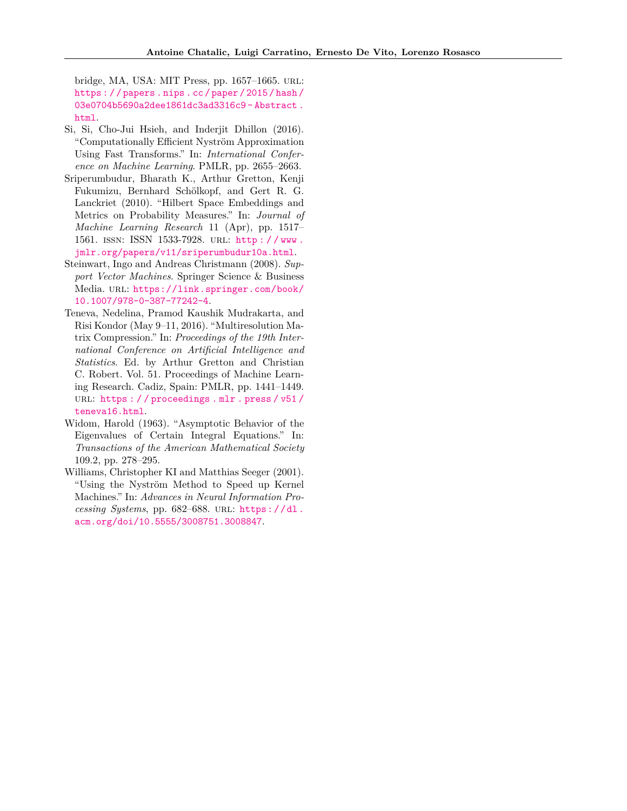bridge, MA, USA: MIT Press, pp. 1657–1665. url: [https : / / papers . nips . cc / paper / 2015 / hash /](https://papers.nips.cc/paper/2015/hash/03e0704b5690a2dee1861dc3ad3316c9-Abstract.html) [03e0704b5690a2dee1861dc3ad3316c9 - Abstract .](https://papers.nips.cc/paper/2015/hash/03e0704b5690a2dee1861dc3ad3316c9-Abstract.html) [html](https://papers.nips.cc/paper/2015/hash/03e0704b5690a2dee1861dc3ad3316c9-Abstract.html).

- <span id="page-10-3"></span>Si, Si, Cho-Jui Hsieh, and Inderjit Dhillon (2016). "Computationally Efficient Nyström Approximation Using Fast Transforms." In: *International Conference on Machine Learning*. PMLR, pp. 2655–2663.
- <span id="page-10-1"></span>Sriperumbudur, Bharath K., Arthur Gretton, Kenji Fukumizu, Bernhard Schölkopf, and Gert R. G. Lanckriet (2010). "Hilbert Space Embeddings and Metrics on Probability Measures." In: *Journal of Machine Learning Research* 11 (Apr), pp. 1517– 1561. issn: ISSN 1533-7928. url: [http : / / www .](http://www.jmlr.org/papers/v11/sriperumbudur10a.html) [jmlr.org/papers/v11/sriperumbudur10a.html](http://www.jmlr.org/papers/v11/sriperumbudur10a.html).
- <span id="page-10-4"></span>Steinwart, Ingo and Andreas Christmann (2008). *Support Vector Machines*. Springer Science & Business Media. URL: [https://link.springer.com/book/](https://link.springer.com/book/10.1007/978-0-387-77242-4) [10.1007/978-0-387-77242-4](https://link.springer.com/book/10.1007/978-0-387-77242-4).
- <span id="page-10-0"></span>Teneva, Nedelina, Pramod Kaushik Mudrakarta, and Risi Kondor (May 9–11, 2016). "Multiresolution Matrix Compression." In: *Proceedings of the 19th International Conference on Artificial Intelligence and Statistics*. Ed. by Arthur Gretton and Christian C. Robert. Vol. 51. Proceedings of Machine Learning Research. Cadiz, Spain: PMLR, pp. 1441–1449. URL: https : // proceedings . mlr . press/v51/ [teneva16.html](https://proceedings.mlr.press/v51/teneva16.html).
- <span id="page-10-5"></span>Widom, Harold (1963). "Asymptotic Behavior of the Eigenvalues of Certain Integral Equations." In: *Transactions of the American Mathematical Society* 109.2, pp. 278–295.
- <span id="page-10-2"></span>Williams, Christopher KI and Matthias Seeger (2001). "Using the Nyström Method to Speed up Kernel Machines." In: *Advances in Neural Information Processing Systems*, pp. 682–688. url: [https : / / dl .](https://dl.acm.org/doi/10.5555/3008751.3008847) [acm.org/doi/10.5555/3008751.3008847](https://dl.acm.org/doi/10.5555/3008751.3008847).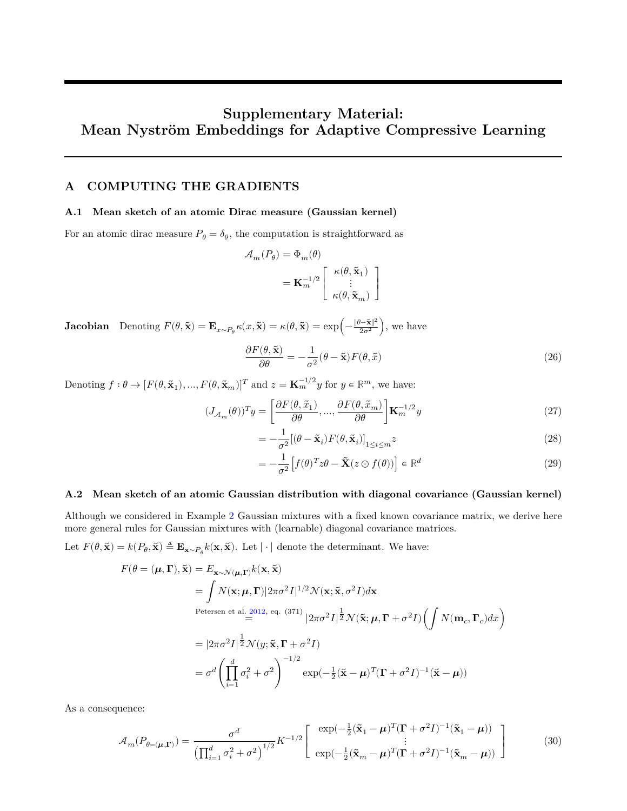# **Supplementary Material: Mean Nyström Embeddings for Adaptive Compressive Learning**

## <span id="page-11-0"></span>**A COMPUTING THE GRADIENTS**

## **A.1 Mean sketch of an atomic Dirac measure (Gaussian kernel)**

For an atomic dirac measure  $P_{\theta} = \delta_{\theta}$ , the computation is straightforward as

$$
\begin{aligned} \mathcal{A}_{m}(P_{\theta}) &= \Phi_{m}(\theta) \\ &= \mathbf{K}_{m}^{-1/2} \left[ \begin{array}{c} \kappa(\theta,\tilde{\mathbf{x}}_{1}) \\ \vdots \\ \kappa(\theta,\tilde{\mathbf{x}}_{m}) \end{array} \right] \end{aligned}
$$

**Jacobian** Denoting  $F(\theta, \tilde{\mathbf{x}}) = \mathbf{E}_{x \sim P_{\theta}} \kappa(x, \tilde{\mathbf{x}}) = \kappa(\theta, \tilde{\mathbf{x}}) = \exp\left(-\frac{\|\theta - \tilde{\mathbf{x}}\|^2}{2\sigma^2}\right)$ , we have

$$
\frac{\partial F(\theta, \tilde{\mathbf{x}})}{\partial \theta} = -\frac{1}{\sigma^2} (\theta - \tilde{\mathbf{x}}) F(\theta, \tilde{x})
$$
\n(26)

Denoting  $f: \theta \to [F(\theta, \tilde{\mathbf{x}}_1), ..., F(\theta, \tilde{\mathbf{x}}_m)]^T$  and  $z = \mathbf{K}_m^{-1/2}y$  for  $y \in \mathbb{R}^m$ , we have:

$$
(J_{\mathcal{A}_m}(\theta))^T y = \left[\frac{\partial F(\theta, \tilde{x}_1)}{\partial \theta}, \dots, \frac{\partial F(\theta, \tilde{x}_m)}{\partial \theta}\right] \mathbf{K}_m^{-1/2} y \tag{27}
$$

$$
= -\frac{1}{\sigma^2} [(\theta - \tilde{\mathbf{x}}_i) F(\theta, \tilde{\mathbf{x}}_i)]_{1 \le i \le m} z
$$
\n(28)

$$
= -\frac{1}{\sigma^2} \left[ f(\theta)^T z \theta - \tilde{\mathbf{X}} (z \odot f(\theta)) \right] \in \mathbb{R}^d \tag{29}
$$

#### **A.2 Mean sketch of an atomic Gaussian distribution with diagonal covariance (Gaussian kernel)**

Although we considered in Example [2](#page-1-3) Gaussian mixtures with a fixed known covariance matrix, we derive here more general rules for Gaussian mixtures with (learnable) diagonal covariance matrices.

Let  $F(\theta, \tilde{\mathbf{x}}) = k(P_{\theta}, \tilde{\mathbf{x}}) \triangleq \mathbf{E}_{\mathbf{x} \sim P_{\theta}} k(\mathbf{x}, \tilde{\mathbf{x}}).$  Let  $|\cdot|$  denote the determinant. We have:

$$
F(\theta = (\mu, \Gamma), \tilde{\mathbf{x}}) = E_{\mathbf{x} \sim \mathcal{N}(\mu, \Gamma)} k(\mathbf{x}, \tilde{\mathbf{x}})
$$
  
\n
$$
= \int N(\mathbf{x}; \mu, \Gamma) |2\pi \sigma^2 I|^{1/2} \mathcal{N}(\mathbf{x}; \tilde{\mathbf{x}}, \sigma^2 I) d\mathbf{x}
$$
  
\nPetersen et al. 2012, eq. (371)  
\n
$$
= |2\pi \sigma^2 I|^{\frac{1}{2}} \mathcal{N}(y; \tilde{\mathbf{x}}, \Gamma + \sigma^2 I)
$$
  
\n
$$
= |2\pi \sigma^2 I|^{\frac{1}{2}} \mathcal{N}(y; \tilde{\mathbf{x}}, \Gamma + \sigma^2 I)
$$
  
\n
$$
= \sigma^d \left( \prod_{i=1}^d \sigma_i^2 + \sigma^2 \right)^{-1/2} \exp(-\frac{1}{2}(\tilde{\mathbf{x}} - \mu)^T (\Gamma + \sigma^2 I)^{-1} (\tilde{\mathbf{x}} - \mu))
$$

As a consequence:

$$
\mathcal{A}_{m}(P_{\theta=(\mu,\Gamma)}) = \frac{\sigma^d}{\left(\prod_{i=1}^d \sigma_i^2 + \sigma^2\right)^{1/2}} K^{-1/2} \left[ \begin{array}{c} \exp(-\frac{1}{2}(\tilde{\mathbf{x}}_1 - \mu)^T (\mathbf{\Gamma} + \sigma^2 I)^{-1} (\tilde{\mathbf{x}}_1 - \mu)) \\ \vdots \\ \exp(-\frac{1}{2}(\tilde{\mathbf{x}}_m - \mu)^T (\mathbf{\Gamma} + \sigma^2 I)^{-1} (\tilde{\mathbf{x}}_m - \mu)) \end{array} \right] \tag{30}
$$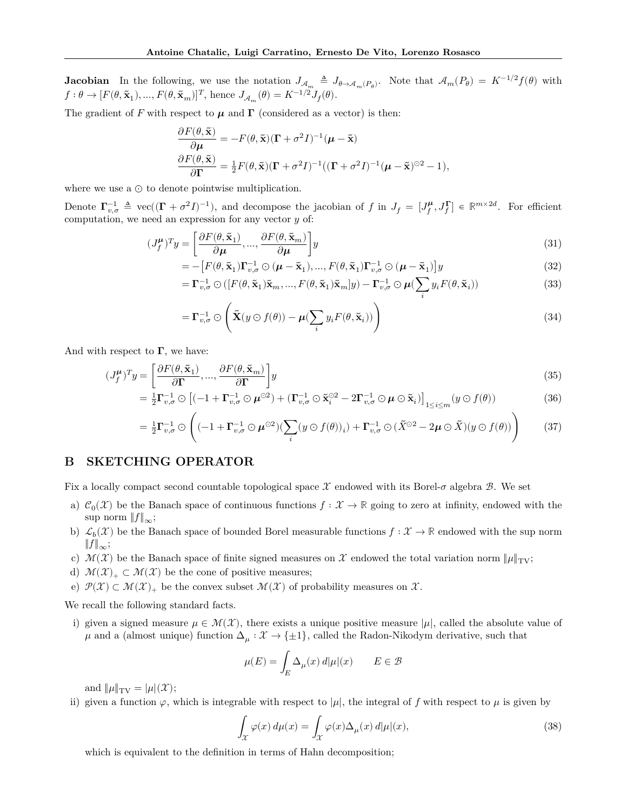**Jacobian** In the following, we use the notation  $J_{A_m} \triangleq J_{\theta \to A_m(P_\theta)}$ . Note that  $\mathcal{A}_m(P_\theta) = K^{-1/2} f(\theta)$  with  $f: \theta \to [F(\theta, \tilde{\mathbf{x}}_1), ..., F(\theta, \tilde{\mathbf{x}}_m)]^T$ , hence  $J_{\mathcal{A}_m}(\theta) = K^{-1/2} J_f(\theta)$ .

The gradient of F with respect to  $\mu$  and  $\Gamma$  (considered as a vector) is then:

$$
\begin{split} &\frac{\partial F(\theta,\tilde{\mathbf{x}})}{\partial\boldsymbol{\mu}}=-F(\theta,\tilde{\mathbf{x}})(\boldsymbol{\Gamma}+\sigma^2I)^{-1}(\boldsymbol{\mu}-\tilde{\mathbf{x}})\\ &\frac{\partial F(\theta,\tilde{\mathbf{x}})}{\partial\boldsymbol{\Gamma}}=\tfrac{1}{2}F(\theta,\tilde{\mathbf{x}})(\boldsymbol{\Gamma}+\sigma^2I)^{-1}((\boldsymbol{\Gamma}+\sigma^2I)^{-1}(\boldsymbol{\mu}-\tilde{\mathbf{x}})^{\odot2}-1), \end{split}
$$

where we use a ⊙ to denote pointwise multiplication.

Denote  $\Gamma_{v,\sigma}^{-1} \triangleq \text{vec}((\Gamma + \sigma^2 I)^{-1})$ , and decompose the jacobian of f in  $J_f = [J_f^{\mu}, J_f^{\Gamma}] \in \mathbb{R}^{m \times 2d}$ . For efficient computation, we need an expression for any vector  $y$  of:

$$
(J_f^{\mu})^T y = \left[\frac{\partial F(\theta, \tilde{\mathbf{x}}_1)}{\partial \mu}, ..., \frac{\partial F(\theta, \tilde{\mathbf{x}}_m)}{\partial \mu}\right] y
$$
(31)

$$
= -\left[F(\theta, \tilde{\mathbf{x}}_1)\Gamma_{v,\sigma}^{-1} \odot (\boldsymbol{\mu} - \tilde{\mathbf{x}}_1), ..., F(\theta, \tilde{\mathbf{x}}_1)\Gamma_{v,\sigma}^{-1} \odot (\boldsymbol{\mu} - \tilde{\mathbf{x}}_1)\right]y \tag{32}
$$

$$
= \Gamma_{v,\sigma}^{-1} \odot \left( [F(\theta, \tilde{\mathbf{x}}_1) \tilde{\mathbf{x}}_m, ..., F(\theta, \tilde{\mathbf{x}}_1) \tilde{\mathbf{x}}_m] y \right) - \Gamma_{v,\sigma}^{-1} \odot \boldsymbol{\mu} \left( \sum_i y_i F(\theta, \tilde{\mathbf{x}}_i) \right)
$$
(33)

$$
= \Gamma_{v,\sigma}^{-1} \odot \left( \tilde{\mathbf{X}}(y \odot f(\theta)) - \mu (\sum_{i} y_i F(\theta, \tilde{\mathbf{x}}_i)) \right)
$$
(34)

And with respect to  $\Gamma$ , we have:

$$
(J_f^{\mu})^T y = \left[\frac{\partial F(\theta, \tilde{\mathbf{x}}_1)}{\partial \mathbf{\Gamma}}, \dots, \frac{\partial F(\theta, \tilde{\mathbf{x}}_m)}{\partial \mathbf{\Gamma}}\right] y
$$
(35)

$$
= \frac{1}{2} \mathbf{\Gamma}_{v,\sigma}^{-1} \odot \left[ (-1 + \mathbf{\Gamma}_{v,\sigma}^{-1} \odot \boldsymbol{\mu}^{\odot 2}) + (\mathbf{\Gamma}_{v,\sigma}^{-1} \odot \tilde{\mathbf{x}}_i^{\odot 2} - 2 \mathbf{\Gamma}_{v,\sigma}^{-1} \odot \boldsymbol{\mu} \odot \tilde{\mathbf{x}}_i) \right]_{1 \le i \le m} (y \odot f(\theta)) \tag{36}
$$

$$
= \frac{1}{2} \mathbf{\Gamma}_{v,\sigma}^{-1} \odot \left( (-1 + \mathbf{\Gamma}_{v,\sigma}^{-1} \odot \boldsymbol{\mu}^{\odot 2}) (\sum_{i} (y \odot f(\theta))_{i}) + \mathbf{\Gamma}_{v,\sigma}^{-1} \odot (\tilde{X}^{\odot 2} - 2\boldsymbol{\mu} \odot \tilde{X}) (y \odot f(\theta)) \right) \tag{37}
$$

## <span id="page-12-0"></span>**B SKETCHING OPERATOR**

Fix a locally compact second countable topological space  $\mathcal X$  endowed with its Borel- $\sigma$  algebra  $\mathcal B$ . We set

- a)  $\mathcal{C}_0(\mathcal{X})$  be the Banach space of continuous functions  $f: \mathcal{X} \to \mathbb{R}$  going to zero at infinity, endowed with the sup norm  $||f||_{\infty}$ ;
- b)  $\mathcal{L}_b(\mathcal{X})$  be the Banach space of bounded Borel measurable functions  $f: \mathcal{X} \to \mathbb{R}$  endowed with the sup norm  $||f||_{\infty}$ ;
- c)  $\mathcal{M}(\mathcal{X})$  be the Banach space of finite signed measures on  $\mathcal{X}$  endowed the total variation norm  $\|\mu\|_{\text{TV}}$ ;
- d)  $\mathcal{M}(\mathcal{X})_+ \subset \mathcal{M}(\mathcal{X})$  be the cone of positive measures;
- e)  $\mathcal{P}(\mathcal{X}) \subset \mathcal{M}(\mathcal{X})_+$  be the convex subset  $\mathcal{M}(\mathcal{X})$  of probability measures on  $\mathcal{X}$ .

We recall the following standard facts.

i) given a signed measure  $\mu \in \mathcal{M}(\mathcal{X})$ , there exists a unique positive measure  $|\mu|$ , called the absolute value of  $\mu$  and a (almost unique) function  $\Delta_{\mu}: \mathcal{X} \to {\pm 1}$ , called the Radon-Nikodym derivative, such that

$$
\mu(E) = \int_E \Delta_{\mu}(x) d|\mu|(x) \qquad E \in \mathcal{B}
$$

and  $\|\mu\|_{\text{TV}} = |\mu|(\mathcal{X});$ 

ii) given a function  $\varphi$ , which is integrable with respect to  $|\mu|$ , the integral of f with respect to  $\mu$  is given by

$$
\int_{\mathcal{X}} \varphi(x) d\mu(x) = \int_{\mathcal{X}} \varphi(x) \Delta_{\mu}(x) d|\mu|(x),\tag{38}
$$

which is equivalent to the definition in terms of Hahn decomposition;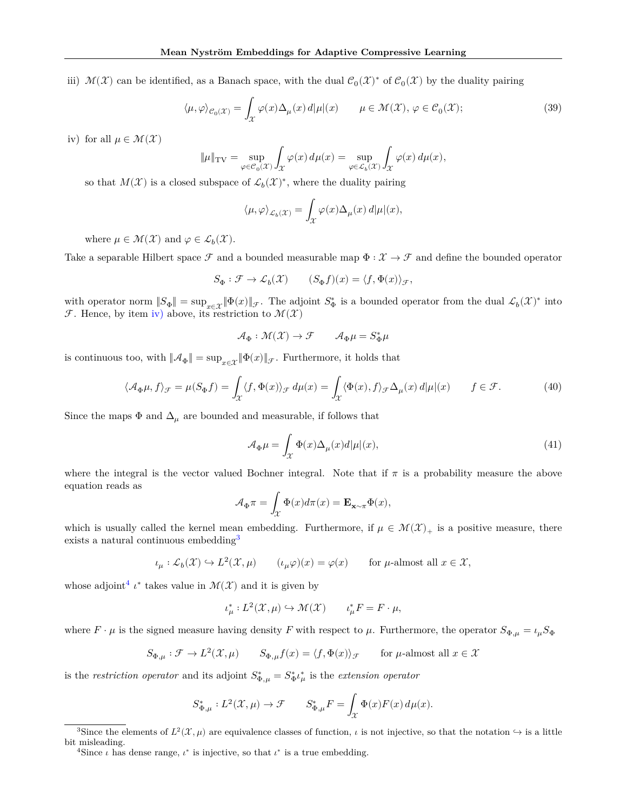iii)  $\mathcal{M}(\mathcal{X})$  can be identified, as a Banach space, with the dual  $\mathcal{C}_0(\mathcal{X})^*$  of  $\mathcal{C}_0(\mathcal{X})$  by the duality pairing

$$
\langle \mu, \varphi \rangle_{\mathcal{C}_0(\mathcal{X})} = \int_{\mathcal{X}} \varphi(x) \Delta_{\mu}(x) d|\mu|(x) \qquad \mu \in \mathcal{M}(\mathcal{X}), \ \varphi \in \mathcal{C}_0(\mathcal{X}); \tag{39}
$$

<span id="page-13-0"></span>iv) for all  $\mu \in \mathcal{M}(\mathcal{X})$ 

$$
\|\mu\|_{\text{TV}} = \sup_{\varphi \in \mathcal{C}_0(\mathcal{X})} \int_{\mathcal{X}} \varphi(x) \, d\mu(x) = \sup_{\varphi \in \mathcal{L}_b(\mathcal{X})} \int_{\mathcal{X}} \varphi(x) \, d\mu(x),
$$

so that  $M(\mathcal{X})$  is a closed subspace of  $\mathcal{L}_b(\mathcal{X})^*$ , where the duality pairing

$$
\langle \mu, \varphi \rangle_{\mathcal{L}_b(\mathcal{X})} = \int_{\mathcal{X}} \varphi(x) \Delta_{\mu}(x) d|\mu|(x),
$$

where  $\mu \in \mathcal{M}(\mathcal{X})$  and  $\varphi \in \mathcal{L}_b(\mathcal{X})$ .

Take a separable Hilbert space  $\mathcal F$  and a bounded measurable map  $\Phi : \mathcal X \to \mathcal F$  and define the bounded operator

$$
S_\Phi:\mathcal{F}\to \mathcal{L}_b(\mathcal{X}) \qquad (S_\Phi f)(x)=\langle f,\Phi(x)\rangle_{\mathcal{F}},
$$

with operator norm  $||S_{\Phi}|| = \sup_{x \in \mathcal{X}} ||\Phi(x)||_{\mathcal{F}}$ . The adjoint  $S_{\Phi}^*$  is a bounded operator from the dual  $\mathcal{L}_b(\mathcal{X})^*$  into **F**. Hence, by item [iv\)](#page-13-0) above, its restriction to  $\mathcal{M}(\mathcal{X})$ 

$$
\mathcal{A}_\Phi : \mathcal{M}(\mathcal{X}) \to \mathcal{F} \qquad \mathcal{A}_\Phi \mu = S_\Phi^* \mu
$$

is continuous too, with  $\|\mathcal{A}_{\Phi}\| = \sup_{x \in \mathcal{X}} \|\Phi(x)\|_{\mathcal{F}}$ . Furthermore, it holds that

$$
\langle \mathcal{A}_{\Phi}\mu, f \rangle_{\mathcal{F}} = \mu(S_{\Phi}f) = \int_{\mathcal{X}} \langle f, \Phi(x) \rangle_{\mathcal{F}} d\mu(x) = \int_{\mathcal{X}} \langle \Phi(x), f \rangle_{\mathcal{F}} \Delta_{\mu}(x) d|\mu|(x) \qquad f \in \mathcal{F}.
$$
 (40)

Since the maps  $\Phi$  and  $\Delta_\mu$  are bounded and measurable, if follows that

$$
\mathcal{A}_{\Phi}\mu = \int_{\mathcal{X}} \Phi(x)\Delta_{\mu}(x)d|\mu|(x),\tag{41}
$$

where the integral is the vector valued Bochner integral. Note that if  $\pi$  is a probability measure the above equation reads as

$$
\mathcal{A}_{\Phi}\pi = \int_{\mathcal{X}} \Phi(x) d\pi(x) = \mathbf{E}_{\mathbf{x} \sim \pi} \Phi(x),
$$

which is usually called the kernel mean embedding. Furthermore, if  $\mu \in \mathcal{M}(\mathcal{X})_+$  is a positive measure, there exists a natural continuous embedding<sup>[3](#page-13-1)</sup>

 $\iota_{\mu}: \mathcal{L}_b(\mathcal{X}) \hookrightarrow L^2(\mathcal{X}, \mu)$   $(\iota_{\mu}\varphi)(x) = \varphi(x)$  for  $\mu$ -almost all  $x \in \mathcal{X},$ 

whose adjoint<sup>[4](#page-13-2)</sup>  $\iota^*$  takes value in  $\mathcal{M}(\mathcal{X})$  and it is given by

$$
\iota_{\mu}^*: L^2(\mathcal{X}, \mu) \hookrightarrow \mathcal{M}(\mathcal{X}) \qquad \iota_{\mu}^*F = F \cdot \mu,
$$

where  $F \cdot \mu$  is the signed measure having density F with respect to  $\mu$ . Furthermore, the operator  $S_{\Phi,\mu} = \iota_{\mu} S_{\Phi}$ 

$$
S_{\Phi,\mu}:\mathcal{F}\rightarrow L^2(\mathcal{X},\mu)\qquad S_{\Phi,\mu}f(x)=\langle f,\Phi(x)\rangle_{\mathcal{F}}\qquad\text{for $\mu$-almost all $x\in\mathcal{X}$}
$$

is the *restriction operator* and its adjoint  $S_{\Phi,\mu}^* = S_{\Phi}^* \iota_{\mu}^*$  is the *extension operator* 

$$
S_{\Phi,\mu}^*:L^2(\mathcal{X},\mu)\rightarrow \mathcal{F}\qquad S_{\Phi,\mu}^*F=\int_{\mathcal{X}}\Phi(x)F(x)\,d\mu(x).
$$

<span id="page-13-1"></span><sup>&</sup>lt;sup>3</sup>Since the elements of  $L^2(\mathcal{X}, \mu)$  are equivalence classes of function,  $\iota$  is not injective, so that the notation  $\hookrightarrow$  is a little bit misleading.

<span id="page-13-2"></span><sup>&</sup>lt;sup>4</sup>Since  $\iota$  has dense range,  $\iota^*$  is injective, so that  $\iota^*$  is a true embedding.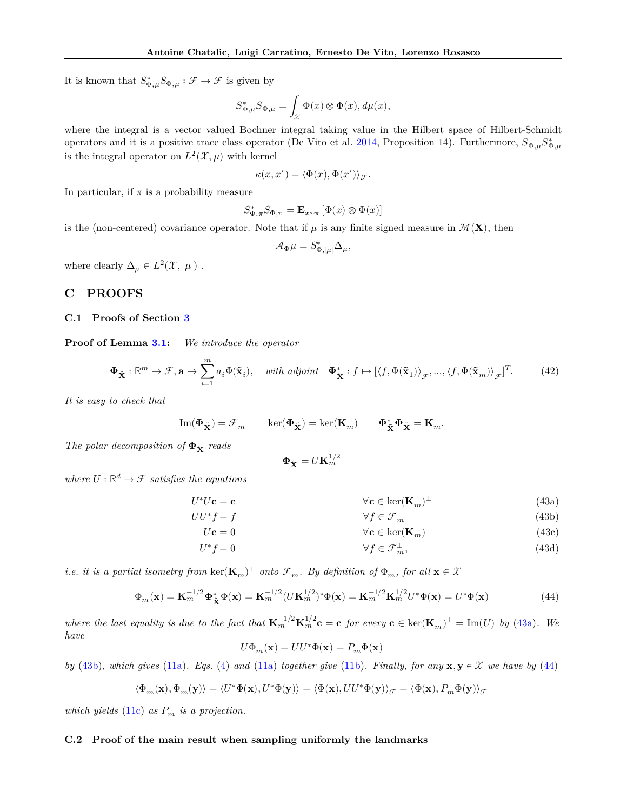It is known that  $S_{\Phi,\mu}^* S_{\Phi,\mu} : \mathcal{F} \to \mathcal{F}$  is given by

$$
S_{\Phi,\mu}^*S_{\Phi,\mu}=\int_{\mathcal{X}}\Phi(x)\otimes \Phi(x),d\mu(x),
$$

where the integral is a vector valued Bochner integral taking value in the Hilbert space of Hilbert-Schmidt operators and it is a positive trace class operator (De Vito et al. [2014,](#page-9-17) Proposition 14). Furthermore,  $S_{\Phi,\mu}S_{\Phi,\mu}^*$ is the integral operator on  $L^2(\mathcal{X}, \mu)$  with kernel

$$
\kappa(x, x') = \langle \Phi(x), \Phi(x') \rangle_{\mathcal{F}}.
$$

In particular, if  $\pi$  is a probability measure

$$
S_{\Phi,\pi}^*S_{\Phi,\pi}=\mathbf{E}_{x\sim\pi}\left[\Phi(x)\otimes\Phi(x)\right]
$$

is the (non-centered) covariance operator. Note that if  $\mu$  is any finite signed measure in  $\mathcal{M}(\mathbf{X})$ , then

$$
\mathcal{A}_{\Phi}\mu = S_{\Phi,|\mu|}^* \Delta_\mu,
$$

where clearly  $\Delta_{\mu} \in L^2(\mathcal{X}, |\mu|)$ .

## <span id="page-14-0"></span>**C PROOFS**

## **C.1 Proofs of Section [3](#page-3-0)**

**Proof of Lemma [3.1:](#page-4-4)** *We introduce the operator*

$$
\mathbf{\Phi}_{\tilde{\mathbf{X}}} : \mathbb{R}^m \to \mathcal{F}, \mathbf{a} \mapsto \sum_{i=1}^m a_i \Phi(\tilde{\mathbf{x}}_i), \quad \text{with adjoint} \quad \mathbf{\Phi}_{\tilde{\mathbf{X}}}^* : f \mapsto [\langle f, \Phi(\tilde{\mathbf{x}}_1) \rangle_{\mathcal{F}}, ..., \langle f, \Phi(\tilde{\mathbf{x}}_m) \rangle_{\mathcal{F}}]^T. \tag{42}
$$

*It is easy to check that*

$$
\mathrm{Im}(\pmb{\Phi}_{\tilde{\mathbf{X}}})=\mathcal{F}_m \qquad \ker(\pmb{\Phi}_{\tilde{\mathbf{X}}})=\ker(\mathbf{K}_m) \qquad \pmb{\Phi}^*_{\tilde{\mathbf{X}}}\pmb{\Phi}_{\tilde{\mathbf{X}}}=\mathbf{K}_m.
$$

*The polar decomposition of*  $\Phi_{\tilde{\mathbf{x}}}$  *reads* 

<span id="page-14-3"></span><span id="page-14-2"></span><span id="page-14-1"></span>
$$
\mathbf{\Phi}_{\tilde{\mathbf{X}}} = U \mathbf{K}_m^{1/2}
$$

*where*  $U : \mathbb{R}^d \to \mathcal{F}$  *satisfies the equations* 

$$
U^*U\mathbf{c} = \mathbf{c} \qquad \forall \mathbf{c} \in \ker(\mathbf{K}_m)^\perp \tag{43a}
$$

$$
UU^*f = f \qquad \qquad \forall f \in \mathcal{F}_m \tag{43b}
$$

$$
U\mathbf{c} = 0 \qquad \qquad \forall \mathbf{c} \in \ker(\mathbf{K}_m) \tag{43c}
$$

$$
U^*f = 0 \qquad \qquad \forall f \in \mathcal{F}_m^{\perp}, \tag{43d}
$$

*i.e. it is a partial isometry from*  $\ker(\mathbf{K}_m)^{\perp}$  *onto*  $\mathcal{F}_m$ *. By definition of*  $\Phi_m$ *, for all*  $\mathbf{x} \in \mathcal{X}$ 

$$
\Phi_m(\mathbf{x}) = \mathbf{K}_m^{-1/2} \Phi_{\tilde{\mathbf{X}}}^* \Phi(\mathbf{x}) = \mathbf{K}_m^{-1/2} (U \mathbf{K}_m^{1/2})^* \Phi(\mathbf{x}) = \mathbf{K}_m^{-1/2} \mathbf{K}_m^{1/2} U^* \Phi(\mathbf{x}) = U^* \Phi(\mathbf{x})
$$
(44)

where the last equality is due to the fact that  $\mathbf{K}_m^{-1/2} \mathbf{K}_m^{1/2} \mathbf{c} = \mathbf{c}$  for every  $\mathbf{c} \in \text{ker}(\mathbf{K}_m)^{\perp} = \text{Im}(U)$  by [\(43a\)](#page-14-1). We *have*

$$
U\Phi_m(\mathbf{x})=UU^*\Phi(\mathbf{x})=P_m\Phi(\mathbf{x})
$$

*by* [\(43b\)](#page-14-2), which gives [\(11a\)](#page-4-5). Eqs. [\(4\)](#page-1-7) and (11a) *together give* [\(11b\)](#page-4-6). Finally, for any  $\mathbf{x}, \mathbf{y} \in \mathcal{X}$  we have by [\(44\)](#page-14-3)

$$
\langle \Phi_m(\mathbf{x}), \Phi_m(\mathbf{y}) \rangle = \langle U^* \Phi(\mathbf{x}), U^* \Phi(\mathbf{y}) \rangle = \langle \Phi(\mathbf{x}), U U^* \Phi(\mathbf{y}) \rangle_{\mathcal{F}} = \langle \Phi(\mathbf{x}), P_m \Phi(\mathbf{y}) \rangle_{\mathcal{F}}
$$

*which yields* [\(11c\)](#page-4-7) *as*  $P_m$  *is a projection.* 

## **C.2 Proof of the main result when sampling uniformly the landmarks**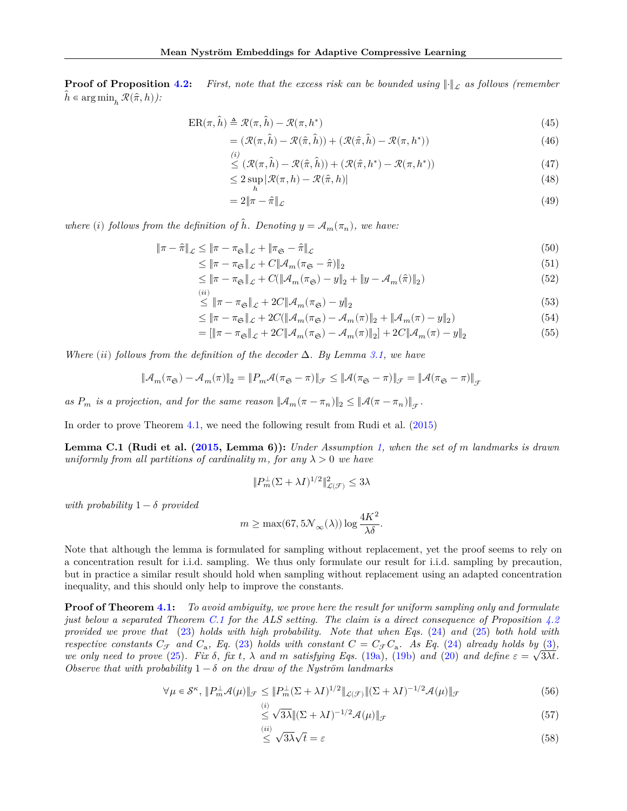**Proof of Proposition [4.2:](#page-6-6)** *First, note that the excess risk can be bounded using*  $\|\cdot\|_{\mathcal{L}}$  *as follows (remember*  $h \in \argmin_h \mathcal{R}(\hat{\pi}, h)$ :

$$
ER(\pi,\hat{h}) \triangleq \mathcal{R}(\pi,\hat{h}) - \mathcal{R}(\pi,h^*)
$$
\n(45)

$$
= (\mathcal{R}(\pi,\hat{h}) - \mathcal{R}(\hat{\pi},\hat{h})) + (\mathcal{R}(\hat{\pi},\hat{h}) - \mathcal{R}(\pi,h^*))
$$
\n(46)

$$
\leq (\mathcal{R}(\pi,\hat{h}) - \mathcal{R}(\hat{\pi},\hat{h})) + (\mathcal{R}(\hat{\pi},h^*) - \mathcal{R}(\pi,h^*))\tag{47}
$$

$$
\leq 2\sup_{h}|\mathcal{R}(\pi,h)-\mathcal{R}(\hat{\pi},h)|\tag{48}
$$

$$
=2\|\pi - \hat{\pi}\|_{\mathcal{L}}\tag{49}
$$

*where* (i) follows from the definition of  $\hat{h}$ . Denoting  $y = A_m(\pi_n)$ , we have:

*(i)*

$$
\|\pi - \hat{\pi}\|_{\mathcal{L}} \le \|\pi - \pi_{\mathfrak{S}}\|_{\mathcal{L}} + \|\pi_{\mathfrak{S}} - \hat{\pi}\|_{\mathcal{L}} \tag{50}
$$

$$
\leq \|\pi - \pi_{\mathfrak{S}}\|_{\mathcal{L}} + C\|\mathcal{A}_{m}(\pi_{\mathfrak{S}} - \hat{\pi})\|_{2} \tag{51}
$$

$$
\leq \|\pi - \pi_{\mathfrak{S}}\|_{\mathcal{L}} + C(\|\mathcal{A}_{m}(\pi_{\mathfrak{S}}) - y\|_{2} + \|y - \mathcal{A}_{m}(\hat{\pi})\|_{2})
$$
\n(52)

$$
\leq \|\pi - \pi_{\mathfrak{S}}\|_{\mathcal{L}} + 2C\|\mathcal{A}_{m}(\pi_{\mathfrak{S}}) - y\|_{2} \tag{53}
$$

$$
\leq \|\pi - \pi_{\mathfrak{S}}\|_{\mathcal{L}} + 2C(\|\mathcal{A}_{m}(\pi_{\mathfrak{S}}) - \mathcal{A}_{m}(\pi)\|_{2} + \|\mathcal{A}_{m}(\pi) - y\|_{2})
$$
\n(54)

$$
= [\|\pi - \pi_{\mathfrak{S}}\|_{\mathcal{L}} + 2C\|\mathcal{A}_{m}(\pi_{\mathfrak{S}}) - \mathcal{A}_{m}(\pi)\|_{2}] + 2C\|\mathcal{A}_{m}(\pi) - y\|_{2} \tag{55}
$$

*Where* (*ii*) *follows from the definition of the decoder*  $\Delta$ *. By Lemma* [3.1,](#page-4-4) we have

$$
\|\mathcal{A}_m(\pi_{\mathfrak{S}}) - \mathcal{A}_m(\pi)\|_2 = \|P_m\mathcal{A}(\pi_{\mathfrak{S}} - \pi)\|_{\mathcal{F}} \leq \|\mathcal{A}(\pi_{\mathfrak{S}} - \pi)\|_{\mathcal{F}} = \|\mathcal{A}(\pi_{\mathfrak{S}} - \pi)\|_{\mathcal{F}}
$$

as  $P_m$  is a projection, and for the same reason  $\|\mathcal{A}_m(\pi - \pi_n)\|_2 \le \|\mathcal{A}(\pi - \pi_n)\|_{\mathcal{F}}$ .

In order to prove Theorem [4.1,](#page-5-6) we need the following result from Rudi et al. [\(2015\)](#page-9-11)

<span id="page-15-0"></span>**Lemma C.1 (Rudi et al. [\(2015,](#page-9-11) Lemma 6)):** *Under Assumption [1,](#page-4-3) when the set of landmarks is drawn uniformly from all partitions of cardinality m, for any*  $\lambda > 0$  *we have* 

$$
\|P_m^{\perp}(\Sigma+\lambda I)^{1/2}\|^2_{\mathcal{L}(\mathcal{F})}\leq 3\lambda
$$

*with probability*  $1 - \delta$  *provided* 

$$
m \geq \max(67,5 \mathcal{N}_\infty(\lambda))\log\frac{4K^2}{\lambda\delta}.
$$

Note that although the lemma is formulated for sampling without replacement, yet the proof seems to rely on a concentration result for i.i.d. sampling. We thus only formulate our result for i.i.d. sampling by precaution, but in practice a similar result should hold when sampling without replacement using an adapted concentration inequality, and this should only help to improve the constants.

**Proof of Theorem [4.1:](#page-5-6)** *To avoid ambiguity, we prove here the result for uniform sampling only and formulate just below a separated Theorem [C.1](#page-16-0) for the ALS setting. The claim is a direct consequence of Proposition [4.2](#page-6-6) provided we prove that* [\(23\)](#page-6-7) *holds with high probability. Note that when Eqs.* [\(24\)](#page-6-8) *and* [\(25\)](#page-6-9) *both hold with respective constants*  $C_{\mathcal{F}}$  *and*  $C_{\rm a}$ *, Eq.* [\(23\)](#page-6-7) *holds with constant*  $C = C_{\mathcal{F}} C_{\rm a}$ *. As Eq.* [\(24\)](#page-6-8) *already holds by* [\(3\)](#page-5-4)*, we only need to prove* [\(25\)](#page-6-9)*.* Fix  $\delta$ , fix t,  $\lambda$  and m satisfying Eqs. [\(19a\)](#page-6-2), [\(19b\)](#page-6-3) and [\(20\)](#page-6-4) and define  $\varepsilon = \sqrt{3\lambda t}$ . *Observe that with probability*  $1 - \delta$  *on the draw of the Nyström landmarks* 

$$
\forall \mu \in \mathcal{S}^{\kappa}, \, \|P_m^{\perp} \mathcal{A}(\mu)\|_{\mathcal{F}} \le \|P_m^{\perp} (\Sigma + \lambda I)^{1/2}\|_{\mathcal{L}(\mathcal{F})} \|(\Sigma + \lambda I)^{-1/2} \mathcal{A}(\mu)\|_{\mathcal{F}}
$$
(56)

<span id="page-15-2"></span>
$$
\stackrel{(i)}{\leq} \sqrt{3\lambda} \| (\Sigma + \lambda I)^{-1/2} \mathcal{A}(\mu) \|_{\mathcal{F}} \tag{57}
$$

<span id="page-15-1"></span>
$$
\stackrel{(ii)}{\leq} \sqrt{3\lambda}\sqrt{t} = \varepsilon \tag{58}
$$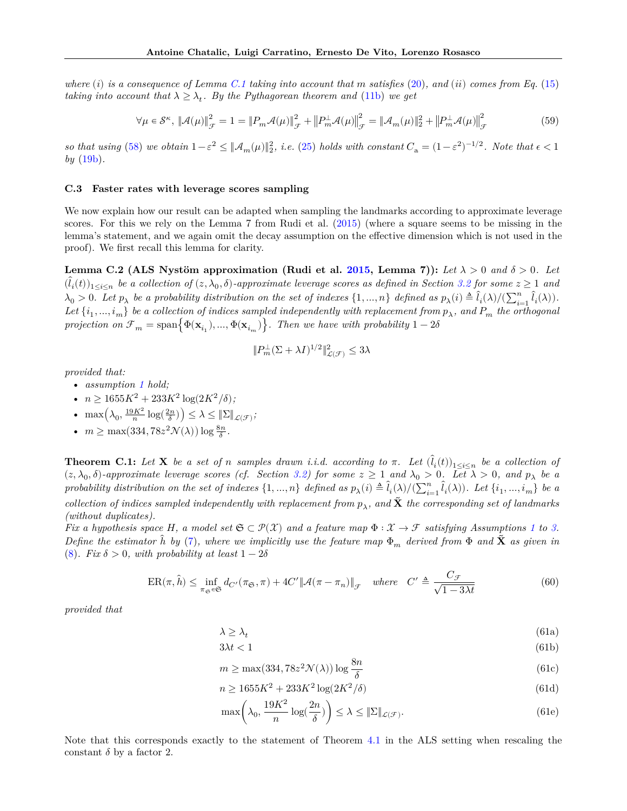*where* (i) is a consequence of Lemma [C.1](#page-15-0) taking into account that m satisfies [\(20\)](#page-6-4), and (ii) comes from Eq. [\(15\)](#page-5-2) *taking into account that*  $\lambda \geq \lambda_t$ . By the Pythagorean theorem and [\(11b\)](#page-4-6) we get

$$
\forall \mu \in \mathcal{S}^{\kappa}, \left\| \mathcal{A}(\mu) \right\|_{\mathcal{F}}^{2} = 1 = \left\| P_{m} \mathcal{A}(\mu) \right\|_{\mathcal{F}}^{2} + \left\| P_{m}^{\perp} \mathcal{A}(\mu) \right\|_{\mathcal{F}}^{2} = \left\| \mathcal{A}_{m}(\mu) \right\|_{2}^{2} + \left\| P_{m}^{\perp} \mathcal{A}(\mu) \right\|_{\mathcal{F}}^{2}
$$
(59)

so that using [\(58\)](#page-15-1) we obtain  $1 - \varepsilon^2 \leq ||\mathcal{A}_m(\mu)||_2^2$ , i.e. [\(25\)](#page-6-9) holds with constant  $C_a = (1 - \varepsilon^2)^{-1/2}$ . Note that  $\epsilon < 1$ *by* [\(19b\)](#page-6-3)*.*

## **C.3 Faster rates with leverage scores sampling**

We now explain how our result can be adapted when sampling the landmarks according to approximate leverage scores. For this we rely on the Lemma 7 from Rudi et al. [\(2015\)](#page-9-11) (where a square seems to be missing in the lemma's statement, and we again omit the decay assumption on the effective dimension which is not used in the proof). We first recall this lemma for clarity.

<span id="page-16-1"></span>**Lemma C.2 (ALS Nystöm approximation (Rudi et al. [2015,](#page-9-11) Lemma 7)):** Let  $\lambda > 0$  and  $\delta > 0$ . Let  $(\hat{l}_i(t))_{1\leq i\leq n}$  be a collection of  $(z, \lambda_0, \delta)$ -approximate leverage scores as defined in Section [3.2](#page-3-3) for some  $z \geq 1$  and  $\lambda_0 > 0$ . Let  $p_\lambda$  be a probability distribution on the set of indexes  $\{1, ..., n\}$  defined as  $p_\lambda(i) \triangleq \hat{l}_i(\lambda)/(\sum_{i=1}^n \hat{l}_i(\lambda))$ . Let  $\{i_1, ..., i_m\}$  be a collection of indices sampled independently with replacement from  $p_\lambda$ , and  $P_m$  the orthogonal *projection on*  $\mathcal{F}_m = \text{span} \{ \Phi(\mathbf{x}_{i_1}), ..., \Phi(\mathbf{x}_{i_m}) \}$ *. Then we have with probability*  $1-2\delta$ 

$$
\|P_m^\perp(\Sigma+\lambda I)^{1/2}\|_{\mathcal{L}(\mathcal{F})}^2\leq 3\lambda
$$

*provided that:*

- *assumption [1](#page-4-3) hold;*
- $n \ge 1655K^2 + 233K^2 \log(2K^2/\delta);$
- max $\left(\lambda_0, \frac{19K^2}{n} \log(\frac{2n}{\delta})\right) \leq \lambda \leq \|\Sigma\|_{\mathcal{L}(\mathcal{F})};$
- $m \ge \max(334, 78z^2 \mathcal{N}(\lambda)) \log \frac{8n}{\delta}$ .

<span id="page-16-0"></span>**Theorem C.1:** Let **X** be a set of n samples drawn i.i.d. according to  $\pi$ . Let  $(\hat{l}_i(t))_{1 \leq i \leq n}$  be a collection of  $(z, \lambda_0, \delta)$ -approximate leverage scores (cf. Section [3.2\)](#page-3-3) for some  $z \ge 1$  and  $\lambda_0 > 0$ . Let  $\lambda > 0$ , and  $p_\lambda$  be a *probability distribution on the set of indexes*  $\{1, ..., n\}$  *defined as*  $p_{\lambda}(i) \triangleq \hat{l}_i(\lambda)/(\sum_{i=1}^n \hat{l}_i(\lambda))$ . Let  $\{i_1, ..., i_m\}$  be a  $\emph{collection of indices sampled independently with replacement from $p_\lambda$, and $\tilde{\textbf{X}}$ the corresponding set of landmarks $p_\lambda$ and $\tilde{\textbf{X}}$ is the corresponding set of the parameters $p_\lambda$ and $p_\lambda$.}$ *(without duplicates).*

*Fix a hypothesis space H*, a model set  $\mathfrak{S} \subset \mathcal{P}(\mathcal{X})$  and a feature map  $\Phi : \mathcal{X} \to \mathcal{F}$  satisfying Assumptions [1](#page-4-3) to [3.](#page-5-4) *Define the estimator*  $\hat{h}$  *by* [\(7\)](#page-2-1), where we implicitly use the feature map  $\Phi_m$  derived from  $\Phi$  and  $\hat{X}$  as given in [\(8\)](#page-3-1)*.* Fix  $\delta > 0$ , with probability at least  $1 - 2\delta$ 

$$
ER(\pi, \hat{h}) \le \inf_{\pi_{\mathfrak{S}} \in \mathfrak{S}} d_{C'}(\pi_{\mathfrak{S}}, \pi) + 4C' \|\mathcal{A}(\pi - \pi_n)\|_{\mathcal{F}} \quad where \quad C' \triangleq \frac{C_{\mathcal{F}}}{\sqrt{1 - 3\lambda t}}
$$
(60)

*provided that*

$$
\lambda \ge \lambda_t \tag{61a}
$$

$$
3\lambda t < 1\tag{61b}
$$

$$
m \ge \max(334, 78z^2 \mathcal{N}(\lambda)) \log \frac{8n}{\delta} \tag{61c}
$$

$$
n \ge 1655K^2 + 233K^2 \log(2K^2/\delta)
$$
\n(61d)

$$
\max\left(\lambda_0, \frac{19K^2}{n}\log(\frac{2n}{\delta})\right) \le \lambda \le \|\Sigma\|_{\mathcal{L}(\mathcal{F})}.\tag{61e}
$$

Note that this corresponds exactly to the statement of Theorem [4.1](#page-5-6) in the ALS setting when rescaling the constant  $\delta$  by a factor 2.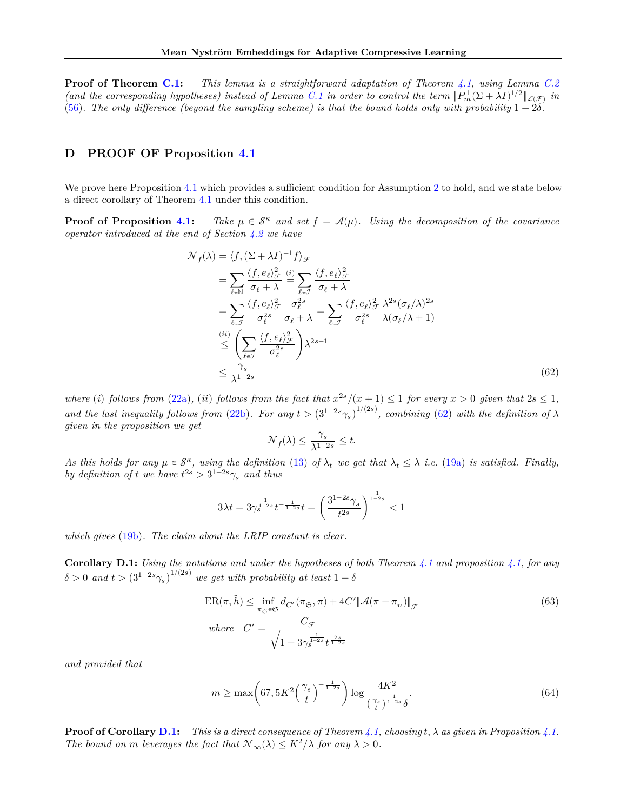**Proof of Theorem [C.1:](#page-16-0)** *This lemma is a straightforward adaptation of Theorem [4.1,](#page-5-6) using Lemma [C.2](#page-16-1) (and the corresponding hypotheses) instead of Lemma [C.1](#page-15-0) in order to control the term*  $||P_m^{\perp}(\Sigma + \lambda I)^{1/2}||_{\mathcal{L}(\mathcal{F})}$  *in* [\(56\)](#page-15-2). The only difference (beyond the sampling scheme) is that the bound holds only with probability  $1-2\delta$ .

## **D PROOF OF Proposition [4.1](#page-6-1)**

We prove here Proposition [4.1](#page-6-1) which provides a sufficient condition for Assumption [2](#page-5-3) to hold, and we state below a direct corollary of Theorem [4.1](#page-5-6) under this condition.

**Proof of Proposition [4.1:](#page-6-1)** *Take*  $\mu \in \mathcal{S}^{\kappa}$  *and set*  $f = \mathcal{A}(\mu)$ *. Using the decomposition of the covariance operator introduced at the end of Section [4.2](#page-6-10) we have*

$$
\mathcal{N}_f(\lambda) = \langle f, (\Sigma + \lambda I)^{-1} f \rangle_{\mathcal{F}}
$$
\n
$$
= \sum_{\ell \in \mathbb{N}} \frac{\langle f, e_{\ell} \rangle_{\mathcal{F}}^2}{\sigma_{\ell} + \lambda} \stackrel{(i)}{=} \sum_{\ell \in \mathcal{I}} \frac{\langle f, e_{\ell} \rangle_{\mathcal{F}}^2}{\sigma_{\ell} + \lambda}
$$
\n
$$
= \sum_{\ell \in \mathcal{I}} \frac{\langle f, e_{\ell} \rangle_{\mathcal{F}}^2}{\sigma_{\ell}^{2s}} \frac{\sigma_{\ell}^{2s}}{\sigma_{\ell} + \lambda} = \sum_{\ell \in \mathcal{I}} \frac{\langle f, e_{\ell} \rangle_{\mathcal{F}}^2}{\sigma_{\ell}^{2s}} \frac{\lambda^{2s} (\sigma_{\ell} / \lambda)^{2s}}{\lambda (\sigma_{\ell} / \lambda + 1)}
$$
\n
$$
\stackrel{(ii)}{\leq} \left( \sum_{\ell \in \mathcal{I}} \frac{\langle f, e_{\ell} \rangle_{\mathcal{F}}^2}{\sigma_{\ell}^{2s}} \right) \lambda^{2s-1}
$$
\n
$$
\leq \frac{\gamma_s}{\lambda^{1-2s}} \tag{62}
$$

where (i) follows from [\(22a\)](#page-6-11), (ii) follows from the fact that  $x^{2s}/(x+1) \leq 1$  for every  $x > 0$  given that  $2s \leq 1$ , and the last inequality follows from [\(22b\)](#page-6-5). For any  $t > (3^{1-2s}\gamma_s)^{1/(2s)}$ , combining [\(62\)](#page-17-0) with the definition of  $\lambda$ *given in the proposition we get*

<span id="page-17-0"></span>
$$
\mathcal{N}_f(\lambda) \leq \frac{\gamma_s}{\lambda^{1-2s}} \leq t.
$$

As this holds for any  $\mu \in \mathcal{S}^{\kappa}$ , using the definition [\(13\)](#page-5-7) of  $\lambda_t$  we get that  $\lambda_t \leq \lambda$  *i.e.* [\(19a\)](#page-6-2) *is satisfied. Finally, by definition of t* we have  $t^{2s} > 3^{1-2s}\gamma_s$  and thus

$$
3\lambda t = 3\gamma_s^{\frac{1}{1-2s}}t^{-\frac{1}{1-2s}}t = \left(\frac{3^{1-2s}\gamma_s}{t^{2s}}\right)^{\frac{1}{1-2s}} < 1
$$

*which gives* [\(19b\)](#page-6-3)*. The claim about the LRIP constant is clear.*

<span id="page-17-1"></span>**Corollary D.1:** *Using the notations and under the hypotheses of both Theorem [4.1](#page-5-6) and proposition [4.1,](#page-6-1) for any*  $\delta > 0$  and  $t > (3^{1-2s}\gamma_s)^{1/(2s)}$  we get with probability at least  $1-\delta$ 

$$
ER(\pi, \hat{h}) \le \inf_{\pi_{\mathfrak{S}} \in \mathfrak{S}} d_{C'}(\pi_{\mathfrak{S}}, \pi) + 4C' \|\mathcal{A}(\pi - \pi_n)\|_{\mathcal{F}}
$$
  
\nwhere  $C' = \frac{C_{\mathcal{F}}}{\sqrt{1 - 3\gamma_s^{\frac{1}{1-2s}} t_{1-2s}^{\frac{2s}{1-2s}}}}$  (63)

*and provided that*

$$
m \ge \max\left(67, 5K^2 \left(\frac{\gamma_s}{t}\right)^{-\frac{1}{1-2s}}\right) \log \frac{4K^2}{\left(\frac{\gamma_s}{t}\right)^{\frac{1}{1-2s}} \delta}.\tag{64}
$$

**Proof of Corollary [D.1:](#page-17-1)** *This is a direct consequence of Theorem [4.1,](#page-5-6) choosing*  $t, \lambda$  *as given in Proposition [4.1.](#page-6-1) The bound on m* leverages the fact that  $\mathcal{N}_{\infty}(\lambda) \leq K^2/\lambda$  for any  $\lambda > 0$ .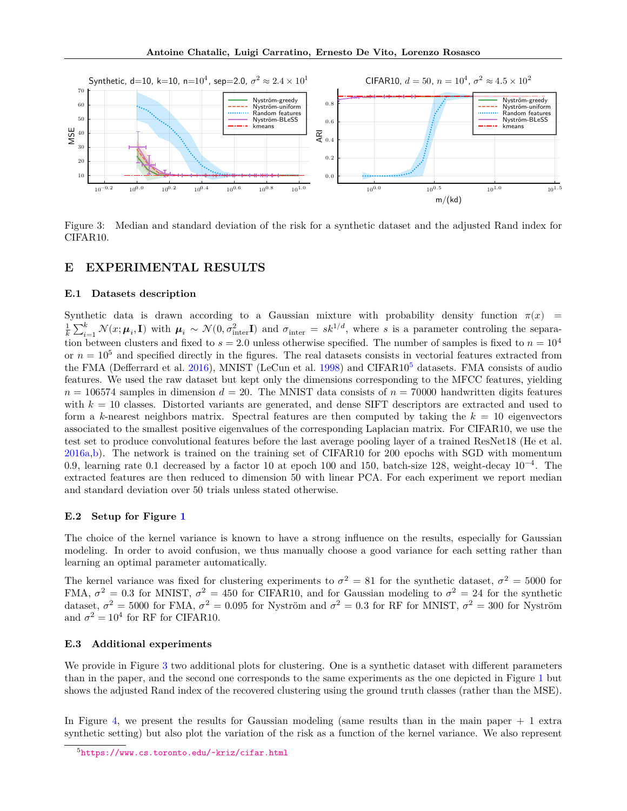

<span id="page-18-2"></span>Figure 3: Median and standard deviation of the risk for a synthetic dataset and the adjusted Rand index for CIFAR10.

## <span id="page-18-0"></span>**E EXPERIMENTAL RESULTS**

## **E.1 Datasets description**

Synthetic data is drawn according to a Gaussian mixture with probability density function  $\pi(x)$  =  $\frac{1}{k}\sum_{i=1}^k \mathcal{N}(x;\mu_i,\mathbf{I})$  with  $\mu_i \sim \mathcal{N}(0,\sigma_{\text{inter}}^2\mathbf{I})$  and  $\sigma_{\text{inter}} = sk^{1/d}$ , where s is a parameter controling the separation between clusters and fixed to  $s = 2.0$  unless otherwise specified. The number of samples is fixed to  $n = 10^4$ or  $n = 10<sup>5</sup>$  and specified directly in the figures. The real datasets consists in vectorial features extracted from the FMA (Defferrard et al. [2016\)](#page-9-13), MNIST (LeCun et al. [1998\)](#page-9-14) and CIFAR10<sup>[5](#page-18-1)</sup> datasets. FMA consists of audio features. We used the raw dataset but kept only the dimensions corresponding to the MFCC features, yielding  $n = 106574$  samples in dimension  $d = 20$ . The MNIST data consists of  $n = 70000$  handwritten digits features with  $k = 10$  classes. Distorted variants are generated, and dense SIFT descriptors are extracted and used to form a k-nearest neighbors matrix. Spectral features are then computed by taking the  $k = 10$  eigenvectors associated to the smallest positive eigenvalues of the corresponding Laplacian matrix. For CIFAR10, we use the test set to produce convolutional features before the last average pooling layer of a trained ResNet18 (He et al. [2016a,](#page-9-18)[b\)](#page-9-19). The network is trained on the training set of CIFAR10 for 200 epochs with SGD with momentum 0.9, learning rate 0.1 decreased by a factor 10 at epoch 100 and 150, batch-size 128, weight-decay 10−4. The extracted features are then reduced to dimension 50 with linear PCA. For each experiment we report median and standard deviation over 50 trials unless stated otherwise.

### **E.2 Setup for Figure [1](#page-7-3)**

The choice of the kernel variance is known to have a strong influence on the results, especially for Gaussian modeling. In order to avoid confusion, we thus manually choose a good variance for each setting rather than learning an optimal parameter automatically.

The kernel variance was fixed for clustering experiments to  $\sigma^2 = 81$  for the synthetic dataset,  $\sigma^2 = 5000$  for FMA,  $\sigma^2 = 0.3$  for MNIST,  $\sigma^2 = 450$  for CIFAR10, and for Gaussian modeling to  $\sigma^2 = 24$  for the synthetic dataset,  $\sigma^2 = 5000$  for FMA,  $\sigma^2 = 0.095$  for Nyström and  $\sigma^2 = 0.3$  for RF for MNIST,  $\sigma^2 = 300$  for Nyström and  $\sigma^2 = 10^4$  for RF for CIFAR10.

## **E.3 Additional experiments**

We provide in Figure [3](#page-18-2) two additional plots for clustering. One is a synthetic dataset with different parameters than in the paper, and the second one corresponds to the same experiments as the one depicted in Figure [1](#page-7-3) but shows the adjusted Rand index of the recovered clustering using the ground truth classes (rather than the MSE).

In Figure [4,](#page-20-0) we present the results for Gaussian modeling (same results than in the main paper + 1 extra synthetic setting) but also plot the variation of the risk as a function of the kernel variance. We also represent

<span id="page-18-1"></span><sup>5</sup><https://www.cs.toronto.edu/~kriz/cifar.html>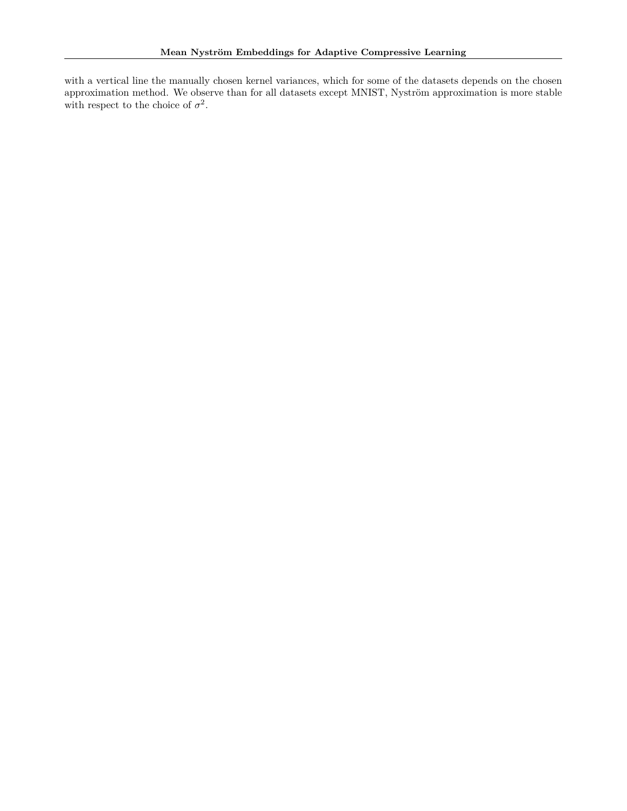with a vertical line the manually chosen kernel variances, which for some of the datasets depends on the chosen approximation method. We observe than for all datasets except MNIST, Nyström approximation is more stable with respect to the choice of  $\sigma^2$ .